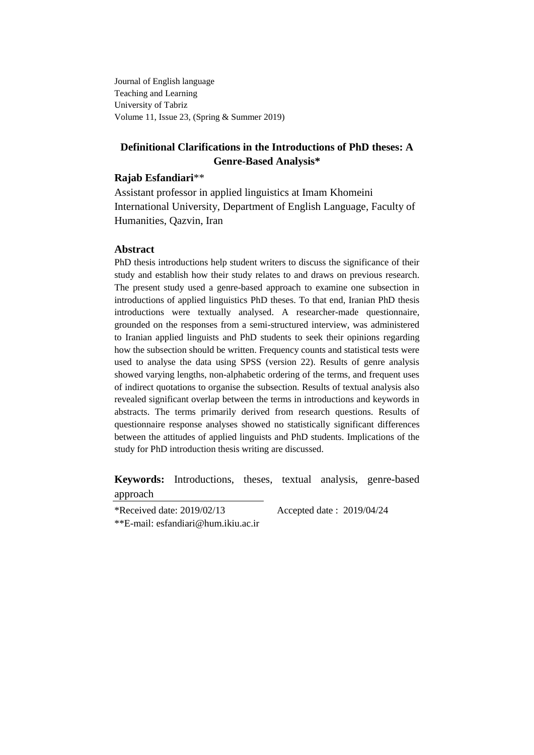Journal of English language Teaching and Learning University of Tabriz Volume 11, Issue 23, (Spring & Summer 2019)

# **Definitional Clarifications in the Introductions of PhD theses: A Genre-Based Analysis\***

### **Rajab Esfandiari**\*\*

Assistant professor in applied linguistics at Imam Khomeini International University, Department of English Language, Faculty of Humanities, Qazvin, Iran

### **Abstract**

PhD thesis introductions help student writers to discuss the significance of their study and establish how their study relates to and draws on previous research. The present study used a genre-based approach to examine one subsection in introductions of applied linguistics PhD theses. To that end, Iranian PhD thesis introductions were textually analysed. A researcher-made questionnaire, grounded on the responses from a semi-structured interview, was administered to Iranian applied linguists and PhD students to seek their opinions regarding how the subsection should be written. Frequency counts and statistical tests were used to analyse the data using SPSS (version 22). Results of genre analysis showed varying lengths, non-alphabetic ordering of the terms, and frequent uses of indirect quotations to organise the subsection. Results of textual analysis also revealed significant overlap between the terms in introductions and keywords in abstracts. The terms primarily derived from research questions. Results of questionnaire response analyses showed no statistically significant differences between the attitudes of applied linguists and PhD students. Implications of the study for PhD introduction thesis writing are discussed.

**Keywords:** Introductions, theses, textual analysis, genre-based approach

\*Received date: 2019/02/13 Accepted date : 2019/04/24 \*\*E-mail: esfandiari@hum.ikiu.ac.ir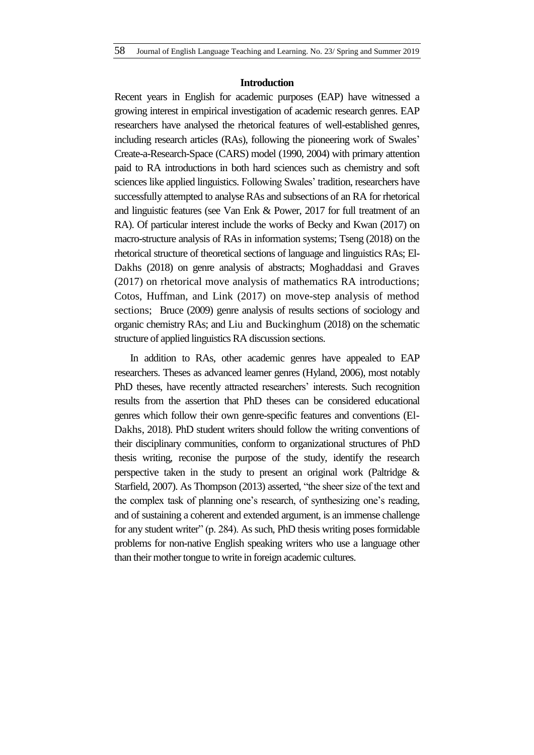#### **Introduction**

Recent years in English for academic purposes (EAP) have witnessed a growing interest in empirical investigation of academic research genres. EAP researchers have analysed the rhetorical features of well-established genres, including research articles (RAs), following the pioneering work of Swales' Create-a-Research-Space (CARS) model (1990, 2004) with primary attention paid to RA introductions in both hard sciences such as chemistry and soft sciences like applied linguistics. Following Swales' tradition, researchers have successfully attempted to analyse RAs and subsections of an RA for rhetorical and linguistic features (see Van Enk & Power, 2017 for full treatment of an RA). Of particular interest include the works of Becky and Kwan (2017) on macro-structure analysis of RAs in information systems; Tseng (2018) on the rhetorical structure of theoretical sections of language and linguistics RAs; El-Dakhs (2018) on genre analysis of abstracts; Moghaddasi and Graves (2017) on rhetorical move analysis of mathematics RA introductions; Cotos, Huffman, and Link (2017) on move-step analysis of method sections; Bruce (2009) genre analysis of results sections of sociology and organic chemistry RAs; and Liu and Buckinghum (2018) on the schematic structure of applied linguistics RA discussion sections.

In addition to RAs, other academic genres have appealed to EAP researchers. Theses as advanced learner genres (Hyland, 2006), most notably PhD theses, have recently attracted researchers' interests. Such recognition results from the assertion that PhD theses can be considered educational genres which follow their own genre-specific features and conventions (El-Dakhs, 2018). PhD student writers should follow the writing conventions of their disciplinary communities, conform to organizational structures of PhD thesis writing, reconise the purpose of the study, identify the research perspective taken in the study to present an original work (Paltridge & Starfield, 2007). As Thompson (2013) asserted, "the sheer size of the text and the complex task of planning one's research, of synthesizing one's reading, and of sustaining a coherent and extended argument, is an immense challenge for any student writer"  $(p. 284)$ . As such, PhD thesis writing poses formidable problems for non-native English speaking writers who use a language other than their mother tongue to write in foreign academic cultures.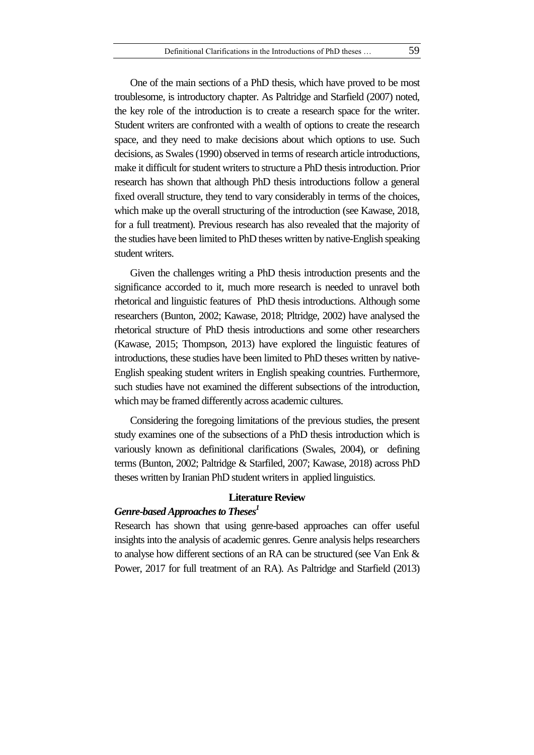One of the main sections of a PhD thesis, which have proved to be most troublesome, is introductory chapter. As Paltridge and Starfield (2007) noted, the key role of the introduction is to create a research space for the writer. Student writers are confronted with a wealth of options to create the research space, and they need to make decisions about which options to use. Such decisions, as Swales (1990) observed in terms of research article introductions, make it difficult for student writers to structure a PhD thesis introduction. Prior research has shown that although PhD thesis introductions follow a general fixed overall structure, they tend to vary considerably in terms of the choices, which make up the overall structuring of the introduction (see Kawase, 2018, for a full treatment). Previous research has also revealed that the majority of the studies have been limited to PhD theses written by native-English speaking student writers.

Given the challenges writing a PhD thesis introduction presents and the significance accorded to it, much more research is needed to unravel both rhetorical and linguistic features of PhD thesis introductions. Although some researchers (Bunton, 2002; Kawase, 2018; Pltridge, 2002) have analysed the rhetorical structure of PhD thesis introductions and some other researchers (Kawase, 2015; Thompson, 2013) have explored the linguistic features of introductions, these studies have been limited to PhD theses written by native-English speaking student writers in English speaking countries. Furthermore, such studies have not examined the different subsections of the introduction, which may be framed differently across academic cultures.

Considering the foregoing limitations of the previous studies, the present study examines one of the subsections of a PhD thesis introduction which is variously known as definitional clarifications (Swales, 2004), or defining terms (Bunton, 2002; Paltridge & Starfiled, 2007; Kawase, 2018) across PhD theses written by Iranian PhD student writers in applied linguistics.

### **Literature Review**

# *Genre-based Approaches to Theses<sup>1</sup>*

Research has shown that using genre-based approaches can offer useful insights into the analysis of academic genres. Genre analysis helps researchers to analyse how different sections of an RA can be structured (see Van Enk & Power, 2017 for full treatment of an RA). As Paltridge and Starfield (2013)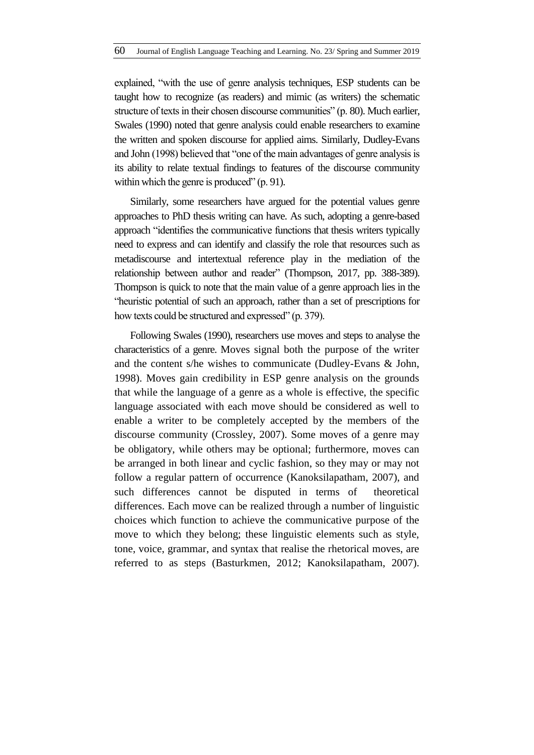explained, "with the use of genre analysis techniques, ESP students can be taught how to recognize (as readers) and mimic (as writers) the schematic structure of texts in their chosen discourse communities" (p. 80). Much earlier, Swales (1990) noted that genre analysis could enable researchers to examine the written and spoken discourse for applied aims. Similarly, Dudley-Evans and John (1998) believed that "one of the main advantages of genre analysis is its ability to relate textual findings to features of the discourse community within which the genre is produced"  $(p. 91)$ .

Similarly, some researchers have argued for the potential values genre approaches to PhD thesis writing can have. As such, adopting a genre-based approach "identifies the communicative functions that thesis writers typically need to express and can identify and classify the role that resources such as metadiscourse and intertextual reference play in the mediation of the relationship between author and reader" (Thompson, 2017, pp. 388-389). Thompson is quick to note that the main value of a genre approach lies in the ―heuristic potential of such an approach, rather than a set of prescriptions for how texts could be structured and expressed" (p. 379).

Following Swales (1990), researchers use moves and steps to analyse the characteristics of a genre. Moves signal both the purpose of the writer and the content s/he wishes to communicate (Dudley-Evans & John, 1998). Moves gain credibility in ESP genre analysis on the grounds that while the language of a genre as a whole is effective, the specific language associated with each move should be considered as well to enable a writer to be completely accepted by the members of the discourse community (Crossley, 2007). Some moves of a genre may be obligatory, while others may be optional; furthermore, moves can be arranged in both linear and cyclic fashion, so they may or may not follow a regular pattern of occurrence (Kanoksilapatham, 2007), and such differences cannot be disputed in terms of theoretical differences. Each move can be realized through a number of linguistic choices which function to achieve the communicative purpose of the move to which they belong; these linguistic elements such as style, tone, voice, grammar, and syntax that realise the rhetorical moves, are referred to as steps (Basturkmen, 2012; Kanoksilapatham, 2007).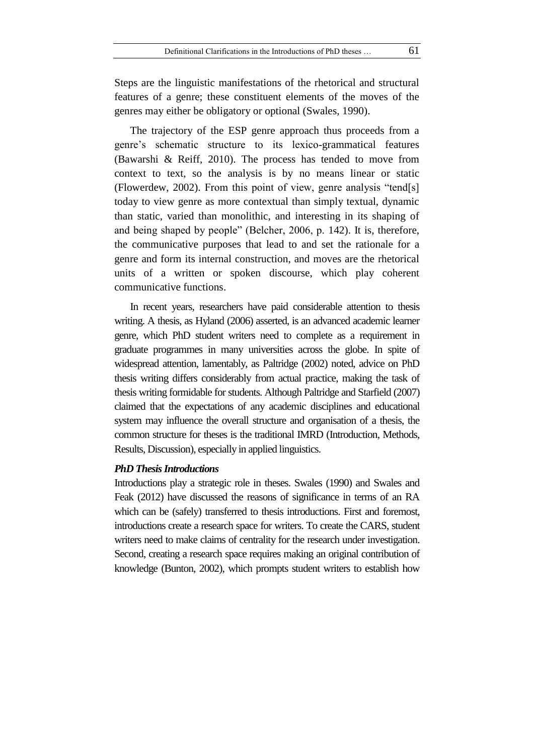Steps are the linguistic manifestations of the rhetorical and structural features of a genre; these constituent elements of the moves of the genres may either be obligatory or optional (Swales, 1990).

The trajectory of the ESP genre approach thus proceeds from a genre's schematic structure to its lexico-grammatical features (Bawarshi & Reiff, 2010). The process has tended to move from context to text, so the analysis is by no means linear or static (Flowerdew, 2002). From this point of view, genre analysis "tend[s] today to view genre as more contextual than simply textual, dynamic than static, varied than monolithic, and interesting in its shaping of and being shaped by people" (Belcher, 2006, p. 142). It is, therefore, the communicative purposes that lead to and set the rationale for a genre and form its internal construction, and moves are the rhetorical units of a written or spoken discourse, which play coherent communicative functions.

In recent years, researchers have paid considerable attention to thesis writing. A thesis, as Hyland (2006) asserted, is an advanced academic learner genre, which PhD student writers need to complete as a requirement in graduate programmes in many universities across the globe. In spite of widespread attention, lamentably, as Paltridge (2002) noted, advice on PhD thesis writing differs considerably from actual practice, making the task of thesis writing formidable for students. Although Paltridge and Starfield (2007) claimed that the expectations of any academic disciplines and educational system may influence the overall structure and organisation of a thesis, the common structure for theses is the traditional IMRD (Introduction, Methods, Results, Discussion), especially in applied linguistics.

### *PhD Thesis Introductions*

Introductions play a strategic role in theses. Swales (1990) and Swales and Feak (2012) have discussed the reasons of significance in terms of an RA which can be (safely) transferred to thesis introductions. First and foremost, introductions create a research space for writers. To create the CARS, student writers need to make claims of centrality for the research under investigation. Second, creating a research space requires making an original contribution of knowledge (Bunton, 2002), which prompts student writers to establish how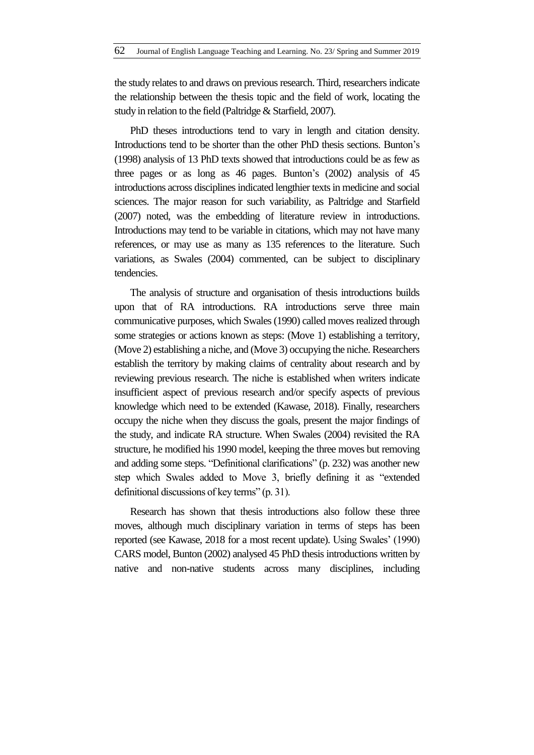the study relates to and draws on previous research. Third, researchers indicate the relationship between the thesis topic and the field of work, locating the study in relation to the field (Paltridge & Starfield, 2007).

PhD theses introductions tend to vary in length and citation density. Introductions tend to be shorter than the other PhD thesis sections. Bunton's (1998) analysis of 13 PhD texts showed that introductions could be as few as three pages or as long as 46 pages. Bunton's (2002) analysis of 45 introductions across disciplines indicated lengthier texts in medicine and social sciences. The major reason for such variability, as Paltridge and Starfield (2007) noted, was the embedding of literature review in introductions. Introductions may tend to be variable in citations, which may not have many references, or may use as many as 135 references to the literature. Such variations, as Swales (2004) commented, can be subject to disciplinary tendencies.

The analysis of structure and organisation of thesis introductions builds upon that of RA introductions. RA introductions serve three main communicative purposes, which Swales (1990) called moves realized through some strategies or actions known as steps: (Move 1) establishing a territory, (Move 2) establishing a niche, and (Move 3) occupying the niche. Researchers establish the territory by making claims of centrality about research and by reviewing previous research. The niche is established when writers indicate insufficient aspect of previous research and/or specify aspects of previous knowledge which need to be extended (Kawase, 2018). Finally, researchers occupy the niche when they discuss the goals, present the major findings of the study, and indicate RA structure. When Swales (2004) revisited the RA structure, he modified his 1990 model, keeping the three moves but removing and adding some steps. "Definitional clarifications" (p. 232) was another new step which Swales added to Move 3, briefly defining it as "extended definitional discussions of key terms"  $(p. 31)$ .

Research has shown that thesis introductions also follow these three moves, although much disciplinary variation in terms of steps has been reported (see Kawase, 2018 for a most recent update). Using Swales' (1990) CARS model, Bunton (2002) analysed 45 PhD thesis introductions written by native and non-native students across many disciplines, including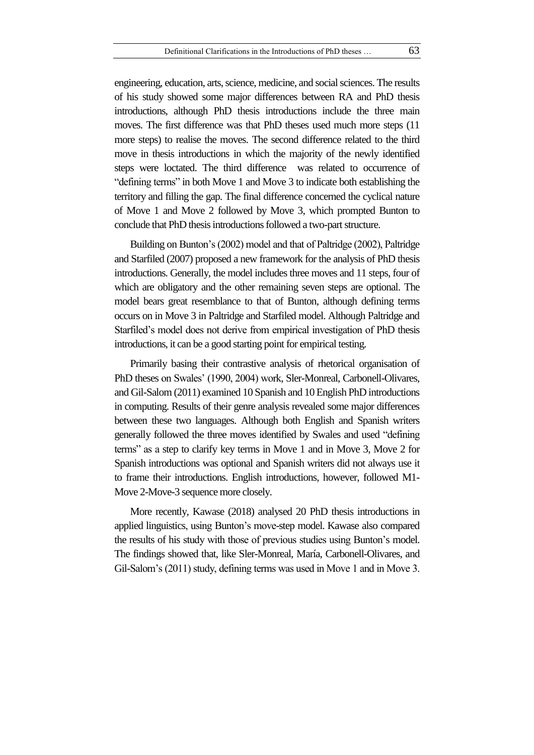engineering, education, arts, science, medicine, and social sciences. The results of his study showed some major differences between RA and PhD thesis introductions, although PhD thesis introductions include the three main moves. The first difference was that PhD theses used much more steps (11 more steps) to realise the moves. The second difference related to the third move in thesis introductions in which the majority of the newly identified steps were loctated. The third difference was related to occurrence of "defining terms" in both Move 1 and Move 3 to indicate both establishing the territory and filling the gap. The final difference concerned the cyclical nature of Move 1 and Move 2 followed by Move 3, which prompted Bunton to conclude that PhD thesis introductions followed a two-part structure.

Building on Bunton's (2002) model and that of Paltridge (2002), Paltridge and Starfiled (2007) proposed a new framework for the analysis of PhD thesis introductions. Generally, the model includes three moves and 11 steps, four of which are obligatory and the other remaining seven steps are optional. The model bears great resemblance to that of Bunton, although defining terms occurs on in Move 3 in Paltridge and Starfiled model. Although Paltridge and Starfiled's model does not derive from empirical investigation of PhD thesis introductions, it can be a good starting point for empirical testing.

Primarily basing their contrastive analysis of rhetorical organisation of PhD theses on Swales' (1990, 2004) work, Sler-Monreal, Carbonell-Olivares, and Gil-Salom (2011) examined 10 Spanish and 10 English PhD introductions in computing. Results of their genre analysis revealed some major differences between these two languages. Although both English and Spanish writers generally followed the three moves identified by Swales and used "defining terms" as a step to clarify key terms in Move 1 and in Move 3, Move 2 for Spanish introductions was optional and Spanish writers did not always use it to frame their introductions. English introductions, however, followed M1- Move 2-Move-3 sequence more closely.

More recently, Kawase (2018) analysed 20 PhD thesis introductions in applied linguistics, using Bunton's move-step model. Kawase also compared the results of his study with those of previous studies using Bunton's model. The findings showed that, like Sler-Monreal, María, Carbonell-Olivares, and Gil-Salom's (2011) study, defining terms was used in Move 1 and in Move 3.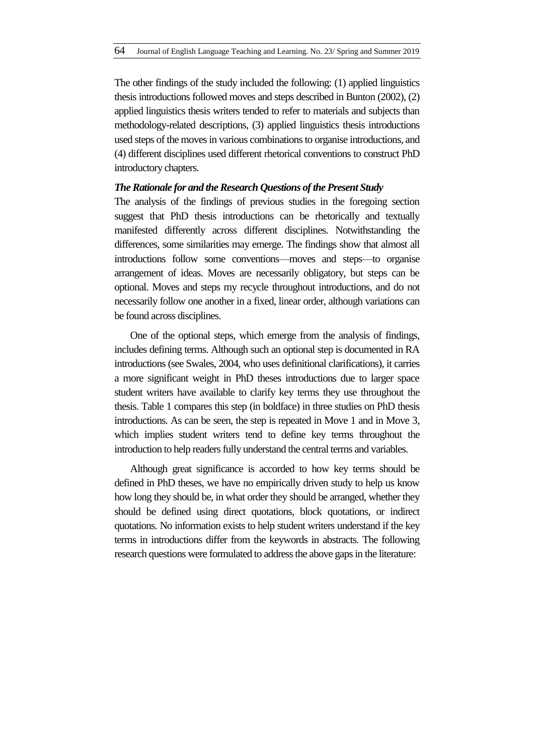The other findings of the study included the following: (1) applied linguistics thesisintroductions followed moves and steps described in Bunton (2002), (2) applied linguistics thesis writers tended to refer to materials and subjects than methodology-related descriptions, (3) applied linguistics thesis introductions used steps of the moves in various combinations to organise introductions, and (4) different disciplines used different rhetorical conventions to construct PhD introductory chapters.

#### *The Rationale for and the Research Questions of the Present Study*

The analysis of the findings of previous studies in the foregoing section suggest that PhD thesis introductions can be rhetorically and textually manifested differently across different disciplines. Notwithstanding the differences, some similarities may emerge. The findings show that almost all introductions follow some conventions—moves and steps—to organise arrangement of ideas. Moves are necessarily obligatory, but steps can be optional. Moves and steps my recycle throughout introductions, and do not necessarily follow one another in a fixed, linear order, although variations can be found across disciplines.

One of the optional steps, which emerge from the analysis of findings, includes defining terms. Although such an optional step is documented in RA introductions (see Swales, 2004, who uses definitional clarifications), it carries a more significant weight in PhD theses introductions due to larger space student writers have available to clarify key terms they use throughout the thesis. Table 1 compares this step (in boldface) in three studies on PhD thesis introductions. As can be seen, the step is repeated in Move 1 and in Move 3, which implies student writers tend to define key terms throughout the introduction to help readers fully understand the central terms and variables.

Although great significance is accorded to how key terms should be defined in PhD theses, we have no empirically driven study to help us know how long they should be, in what order they should be arranged, whether they should be defined using direct quotations, block quotations, or indirect quotations. No information exists to help student writers understand if the key terms in introductions differ from the keywords in abstracts. The following research questions were formulated to address the above gaps in the literature: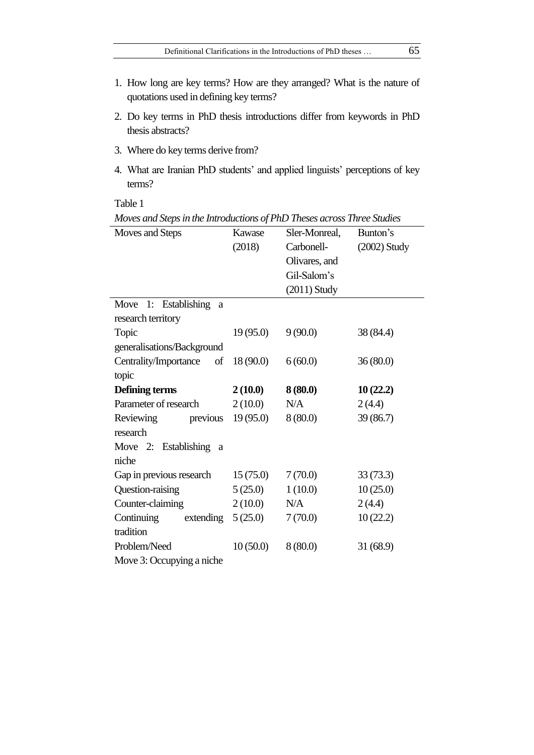- 1. How long are key terms? How are they arranged? What is the nature of quotations used in defining key terms?
- 2. Do key terms in PhD thesis introductions differ from keywords in PhD thesis abstracts?
- 3. Where do key terms derive from?
- 4. What are Iranian PhD students' and applied linguists' perceptions of key terms?

| Moves and Steps             | Kawase    | Sler-Monreal,  | Bunton's       |  |
|-----------------------------|-----------|----------------|----------------|--|
|                             | (2018)    | Carbonell-     | $(2002)$ Study |  |
|                             |           | Olivares, and  |                |  |
|                             |           | Gil-Salom's    |                |  |
|                             |           | $(2011)$ Study |                |  |
| Move 1: Establishing<br>a   |           |                |                |  |
| research territory          |           |                |                |  |
| Topic                       | 19(95.0)  | 9(90.0)        | 38 (84.4)      |  |
| generalisations/Background  |           |                |                |  |
| Centrality/Importance<br>of | 18 (90.0) | 6(60.0)        | 36(80.0)       |  |
| topic                       |           |                |                |  |
| Defining terms              | 2(10.0)   | 8(80.0)        | 10(22.2)       |  |
| Parameter of research       | 2(10.0)   | N/A            | 2(4.4)         |  |
| Reviewing previous          | 19(95.0)  | 8(80.0)        | 39(86.7)       |  |
| research                    |           |                |                |  |
| Move 2: Establishing a      |           |                |                |  |
| niche                       |           |                |                |  |
| Gap in previous research    | 15(75.0)  | 7(70.0)        | 33(73.3)       |  |
| Question-raising            | 5(25.0)   | 1(10.0)        | 10(25.0)       |  |
| Counter-claiming            | 2(10.0)   | N/A            | 2(4.4)         |  |
| Continuing<br>extending     | 5(25.0)   | 7(70.0)        | 10(22.2)       |  |
| tradition                   |           |                |                |  |
| Problem/Need                | 10(50.0)  | 8(80.0)        | 31(68.9)       |  |
| Move 3: Occupying a niche   |           |                |                |  |

*Moves and Steps in the Introductions of PhD Theses across Three Studies*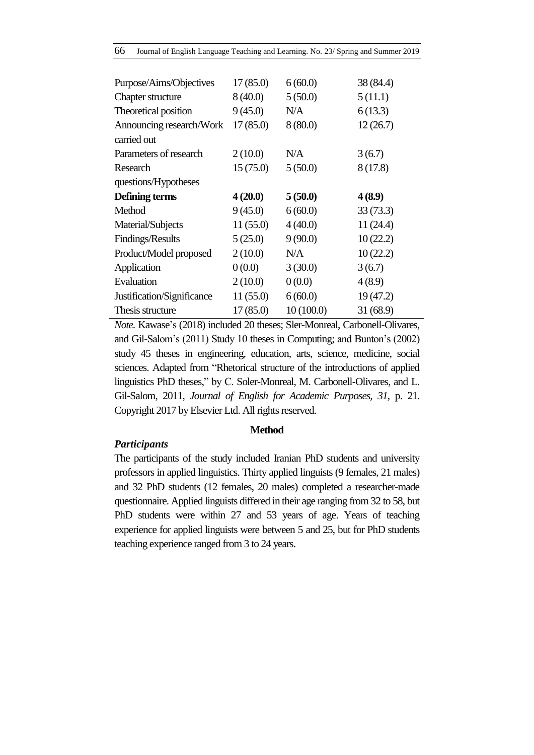| Purpose/Aims/Objectives    | 17(85.0) | 6(60.0)   | 38 (84.4) |
|----------------------------|----------|-----------|-----------|
| <b>Chapter structure</b>   | 8(40.0)  | 5(50.0)   | 5(11.1)   |
| Theoretical position       | 9(45.0)  | N/A       | 6(13.3)   |
| Announcing research/Work   | 17(85.0) | 8(80.0)   | 12(26.7)  |
| carried out                |          |           |           |
| Parameters of research     | 2(10.0)  | N/A       | 3(6.7)    |
| Research                   | 15(75.0) | 5(50.0)   | 8(17.8)   |
| questions/Hypotheses       |          |           |           |
| <b>Defining terms</b>      | 4(20.0)  | 5(50.0)   | 4(8.9)    |
| Method                     | 9(45.0)  | 6(60.0)   | 33(73.3)  |
| Material/Subjects          | 11(55.0) | 4(40.0)   | 11(24.4)  |
| Findings/Results           | 5(25.0)  | 9(90.0)   | 10(22.2)  |
| Product/Model proposed     | 2(10.0)  | N/A       | 10(22.2)  |
| Application                | 0(0.0)   | 3(30.0)   | 3(6.7)    |
| Evaluation                 | 2(10.0)  | 0(0.0)    | 4(8.9)    |
| Justification/Significance | 11(55.0) | 6(60.0)   | 19 (47.2) |
| Thesis structure           | 17(85.0) | 10(100.0) | 31(68.9)  |

*Note.* Kawase's (2018) included 20 theses; Sler-Monreal, Carbonell-Olivares, and Gil-Salom's (2011) Study 10 theses in Computing; and Bunton's (2002) study 45 theses in engineering, education, arts, science, medicine, social sciences. Adapted from "Rhetorical structure of the introductions of applied linguistics PhD theses," by C. Soler-Monreal, M. Carbonell-Olivares, and L. Gil-Salom, 2011, *Journal of English for Academic Purposes, 31,* p. 21. Copyright 2017 by Elsevier Ltd. All rights reserved.

## **Method**

## *Participants*

The participants of the study included Iranian PhD students and university professors in applied linguistics. Thirty applied linguists (9 females, 21 males) and 32 PhD students (12 females, 20 males) completed a researcher-made questionnaire. Applied linguists differed in their age ranging from 32 to 58, but PhD students were within 27 and 53 years of age. Years of teaching experience for applied linguists were between 5 and 25, but for PhD students teaching experience ranged from 3 to 24 years.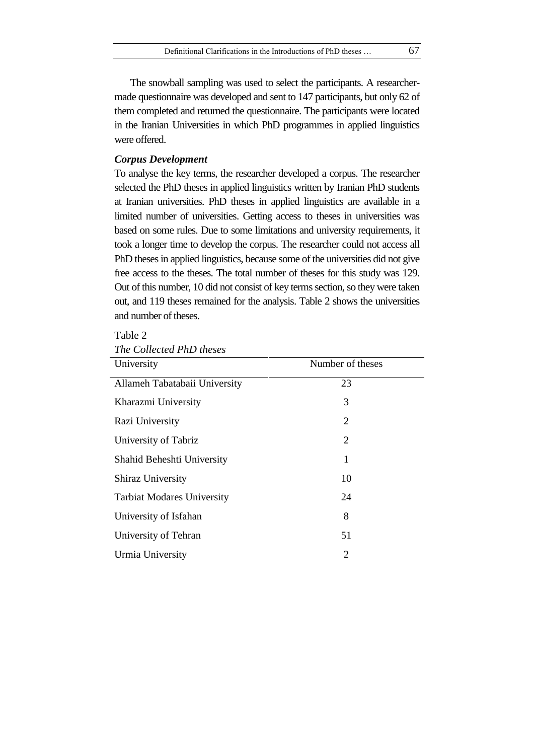The snowball sampling was used to select the participants. A researchermade questionnaire was developed and sent to 147 participants, but only 62 of them completed and returned the questionnaire. The participants were located in the Iranian Universities in which PhD programmes in applied linguistics were offered.

### *Corpus Development*

To analyse the key terms, the researcher developed a corpus. The researcher selected the PhD theses in applied linguistics written by Iranian PhD students at Iranian universities. PhD theses in applied linguistics are available in a limited number of universities. Getting access to theses in universities was based on some rules. Due to some limitations and university requirements, it took a longer time to develop the corpus. The researcher could not access all PhD theses in applied linguistics, because some of the universities did not give free access to the theses. The total number of theses for this study was 129. Out of this number, 10 did not consist of key terms section, so they were taken out, and 119 theses remained for the analysis. Table 2 shows the universities and number of theses.

## Table 2 *The Collected PhD theses*

| University                        | Number of theses |  |
|-----------------------------------|------------------|--|
| Allameh Tabatabaii University     | 23               |  |
| Kharazmi University               | 3                |  |
| Razi University                   | $\overline{2}$   |  |
| University of Tabriz              | 2                |  |
| Shahid Beheshti University        | 1                |  |
| <b>Shiraz University</b>          | 10               |  |
| <b>Tarbiat Modares University</b> | 24               |  |
| University of Isfahan             | 8                |  |
| University of Tehran              | 51               |  |
| Urmia University                  | 2                |  |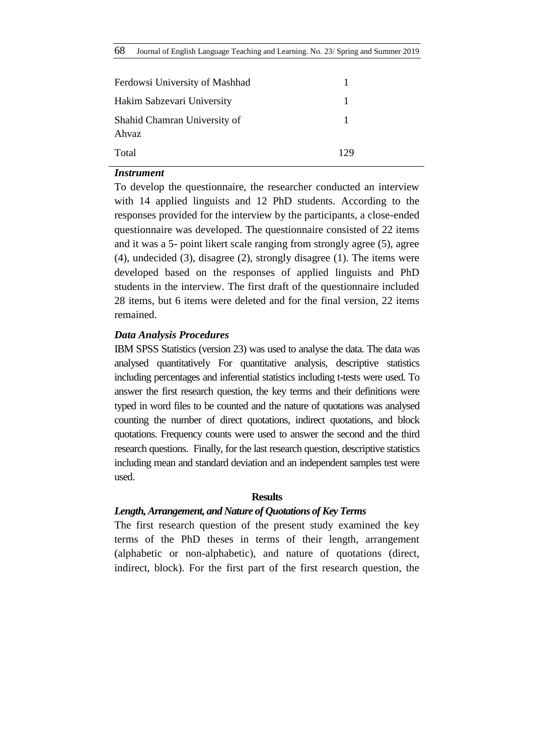| Ferdowsi University of Mashhad        |     |  |
|---------------------------------------|-----|--|
| Hakim Sabzevari University            |     |  |
| Shahid Chamran University of<br>Ahvaz |     |  |
| Total                                 | 129 |  |

### *Instrument*

To develop the questionnaire, the researcher conducted an interview with 14 applied linguists and 12 PhD students. According to the responses provided for the interview by the participants, a close-ended questionnaire was developed. The questionnaire consisted of 22 items and it was a 5- point likert scale ranging from strongly agree (5), agree (4), undecided (3), disagree (2), strongly disagree (1). The items were developed based on the responses of applied linguists and PhD students in the interview. The first draft of the questionnaire included 28 items, but 6 items were deleted and for the final version, 22 items remained.

#### *Data Analysis Procedures*

IBM SPSS Statistics (version 23) was used to analyse the data. The data was analysed quantitatively For quantitative analysis, descriptive statistics including percentages and inferential statistics including t-tests were used. To answer the first research question, the key terms and their definitions were typed in word files to be counted and the nature of quotations was analysed counting the number of direct quotations, indirect quotations, and block quotations. Frequency counts were used to answer the second and the third research questions. Finally, for the last research question, descriptive statistics including mean and standard deviation and an independent samples test were used.

#### **Results**

#### *Length, Arrangement, and Nature of Quotations of Key Terms*

The first research question of the present study examined the key terms of the PhD theses in terms of their length, arrangement (alphabetic or non-alphabetic), and nature of quotations (direct, indirect, block). For the first part of the first research question, the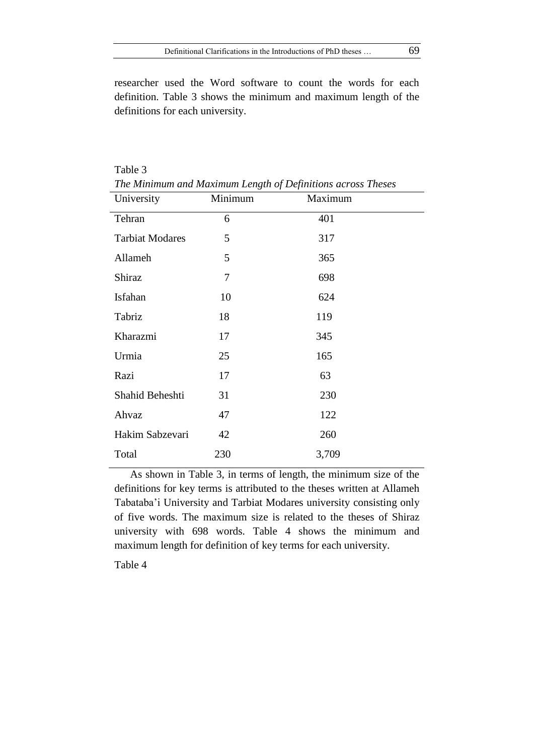researcher used the Word software to count the words for each definition. Table 3 shows the minimum and maximum length of the definitions for each university.

| The Minimum and Maximum Length of Definitions across Theses<br>University | Minimum        | Maximum |  |
|---------------------------------------------------------------------------|----------------|---------|--|
| Tehran                                                                    | 6              | 401     |  |
| <b>Tarbiat Modares</b>                                                    | 5              | 317     |  |
| Allameh                                                                   | 5              | 365     |  |
| Shiraz                                                                    | $\overline{7}$ | 698     |  |
| Isfahan                                                                   | 10             | 624     |  |
| Tabriz                                                                    | 18             | 119     |  |
| Kharazmi                                                                  | 17             | 345     |  |
| Urmia                                                                     | 25             | 165     |  |
| Razi                                                                      | 17             | 63      |  |
| Shahid Beheshti                                                           | 31             | 230     |  |
| Ahvaz                                                                     | 47             | 122     |  |
| Hakim Sabzevari                                                           | 42             | 260     |  |
| Total                                                                     | 230            | 3,709   |  |

Table 3 *The Minimum and Maximum Length of Definitions across Theses*

As shown in Table 3, in terms of length, the minimum size of the definitions for key terms is attributed to the theses written at Allameh Tabataba'i University and Tarbiat Modares university consisting only of five words. The maximum size is related to the theses of Shiraz university with 698 words. Table 4 shows the minimum and maximum length for definition of key terms for each university.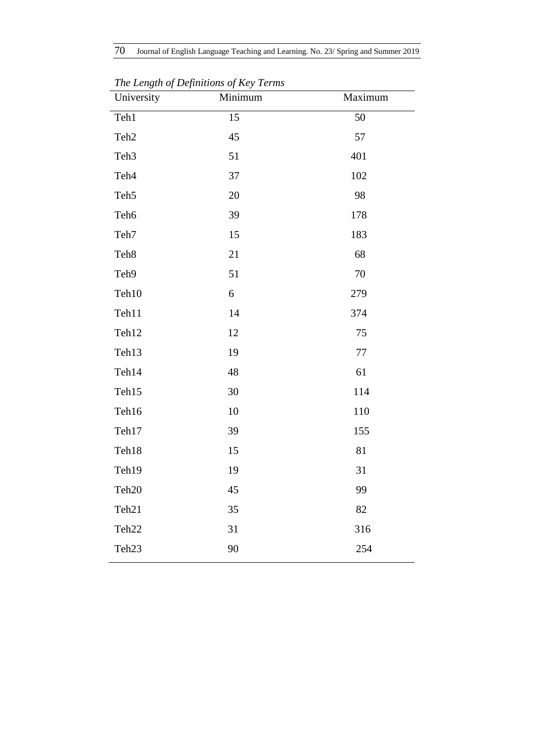| $\sim$ $\sigma$<br>$\overline{J}$<br>University | $\overline{J}$<br>$\sim$<br>Minimum | Maximum |
|-------------------------------------------------|-------------------------------------|---------|
| Teh1                                            | 15                                  | 50      |
| Teh <sub>2</sub>                                | 45                                  | 57      |
| Teh <sub>3</sub>                                | 51                                  | 401     |
| Teh <sub>4</sub>                                | 37                                  | 102     |
| Teh <sub>5</sub>                                | 20                                  | 98      |
| Teh <sub>6</sub>                                | 39                                  | 178     |
| Teh7                                            | 15                                  | 183     |
| Teh <sub>8</sub>                                | 21                                  | 68      |
| Teh9                                            | 51                                  | 70      |
| Teh10                                           | 6                                   | 279     |
| Teh11                                           | 14                                  | 374     |
| Teh12                                           | 12                                  | 75      |
| Teh13                                           | 19                                  | $77\,$  |
| Teh14                                           | 48                                  | 61      |
| Teh15                                           | 30                                  | 114     |
| Teh16                                           | 10                                  | 110     |
| Teh17                                           | 39                                  | 155     |
| Teh18                                           | 15                                  | 81      |
| Teh19                                           | 19                                  | 31      |
| Teh <sub>20</sub>                               | 45                                  | 99      |
| Teh <sub>21</sub>                               | 35                                  | 82      |
| Teh <sub>22</sub>                               | 31                                  | 316     |
| Teh <sub>23</sub>                               | 90                                  | 254     |
|                                                 |                                     |         |

*The Length of Definitions of Key Terms*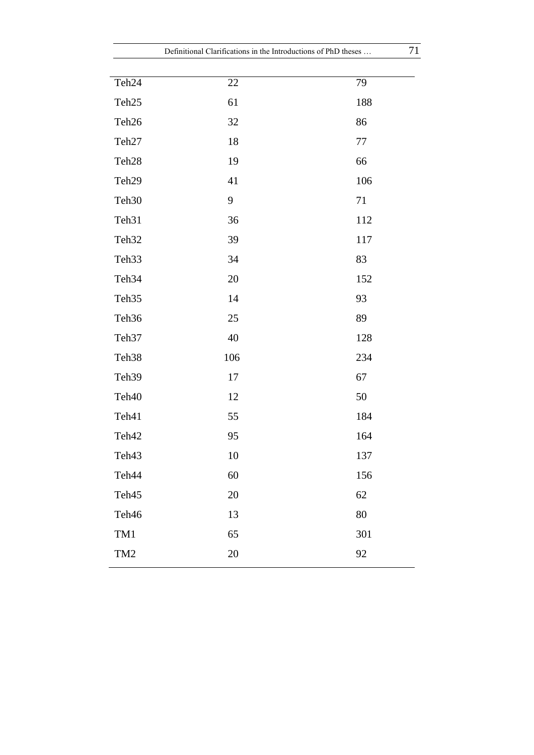| Definitional Clarifications in the Introductions of PhD theses |        |         | 71 |
|----------------------------------------------------------------|--------|---------|----|
|                                                                |        |         |    |
| Teh <sub>24</sub>                                              | 22     | 79      |    |
| Teh <sub>25</sub>                                              | 61     | 188     |    |
| Teh <sub>26</sub>                                              | 32     | 86      |    |
| Teh <sub>27</sub>                                              | 18     | $77 \,$ |    |
| Teh <sub>28</sub>                                              | 19     | 66      |    |
| Teh <sub>29</sub>                                              | 41     | 106     |    |
| Teh <sub>30</sub>                                              | 9      | 71      |    |
| Teh <sub>31</sub>                                              | 36     | 112     |    |
| Teh <sub>32</sub>                                              | 39     | 117     |    |
| Teh <sub>33</sub>                                              | 34     | 83      |    |
| Teh <sub>34</sub>                                              | 20     | 152     |    |
| Teh <sub>35</sub>                                              | 14     | 93      |    |
| Teh <sub>36</sub>                                              | 25     | 89      |    |
| Teh <sub>37</sub>                                              | 40     | 128     |    |
| Teh <sub>38</sub>                                              | 106    | 234     |    |
| Teh <sub>39</sub>                                              | 17     | 67      |    |
| Teh <sub>40</sub>                                              | 12     | 50      |    |
| Teh41                                                          | 55     | 184     |    |
| Teh42                                                          | 95     | 164     |    |
| Teh43                                                          | $10\,$ | 137     |    |
| Teh44                                                          | 60     | 156     |    |
| Teh45                                                          | 20     | 62      |    |
| Teh46                                                          | 13     | $80\,$  |    |
| TM1                                                            | 65     | 301     |    |
| TM <sub>2</sub>                                                | $20\,$ | 92      |    |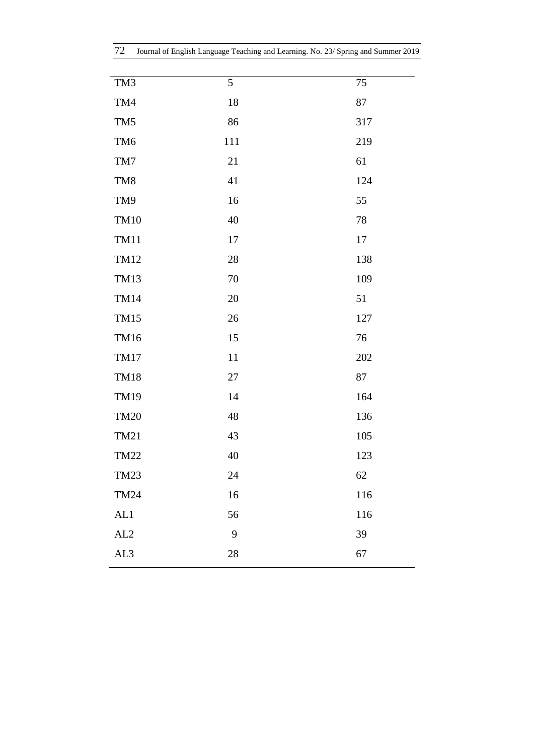|  | 72 Journal of English Language Teaching and Learning. No. 23/ Spring and Summer 2019 |  |  |  |  |  |  |  |
|--|--------------------------------------------------------------------------------------|--|--|--|--|--|--|--|
|--|--------------------------------------------------------------------------------------|--|--|--|--|--|--|--|

| TM3             | $\overline{5}$ | 75  |
|-----------------|----------------|-----|
| TM4             | 18             | 87  |
| TM <sub>5</sub> | 86             | 317 |
| TM <sub>6</sub> | 111            | 219 |
| TM7             | 21             | 61  |
| TM8             | 41             | 124 |
| TM9             | 16             | 55  |
| <b>TM10</b>     | 40             | 78  |
| <b>TM11</b>     | 17             | 17  |
| <b>TM12</b>     | 28             | 138 |
| <b>TM13</b>     | 70             | 109 |
| <b>TM14</b>     | $20\,$         | 51  |
| <b>TM15</b>     | 26             | 127 |
| <b>TM16</b>     | 15             | 76  |
| <b>TM17</b>     | 11             | 202 |
| <b>TM18</b>     | 27             | 87  |
| <b>TM19</b>     | 14             | 164 |
| <b>TM20</b>     | 48             | 136 |
| TM21            | 43             | 105 |
| <b>TM22</b>     | 40             | 123 |
| TM23            | 24             | 62  |
| <b>TM24</b>     | 16             | 116 |
| AL1             | 56             | 116 |
| AL2             | 9              | 39  |
| AL3             | 28             | 67  |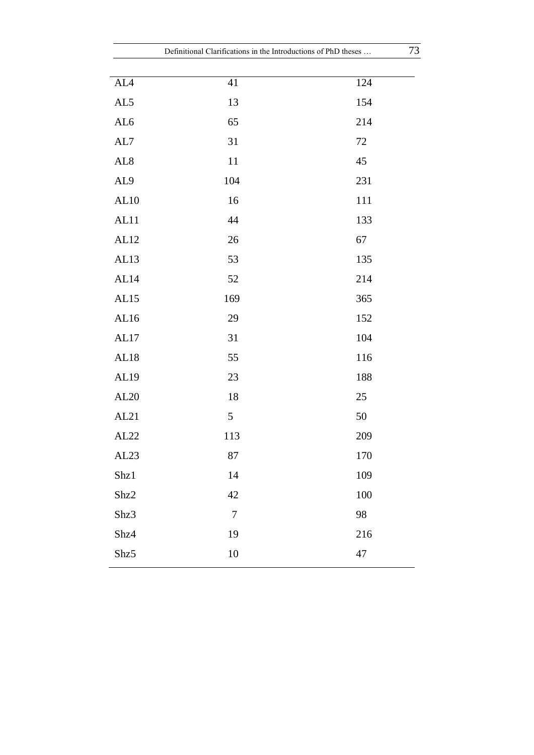| Definitional Clarifications in the Introductions of PhD theses |                  |     | 73 |  |
|----------------------------------------------------------------|------------------|-----|----|--|
|                                                                |                  |     |    |  |
| ${\rm AL4}$                                                    | 41               | 124 |    |  |
| AL5                                                            | 13               | 154 |    |  |
| AL6                                                            | 65               | 214 |    |  |
| AL7                                                            | 31               | 72  |    |  |
| AL <sub>8</sub>                                                | 11               | 45  |    |  |
| AL9                                                            | 104              | 231 |    |  |
| AL10                                                           | 16               | 111 |    |  |
| AL11                                                           | 44               | 133 |    |  |
| AL12                                                           | 26               | 67  |    |  |
| AL13                                                           | 53               | 135 |    |  |
| AL14                                                           | 52               | 214 |    |  |
| AL15                                                           | 169              | 365 |    |  |
| AL16                                                           | 29               | 152 |    |  |
| $AL17$                                                         | 31               | 104 |    |  |
| AL18                                                           | 55               | 116 |    |  |
| AL19                                                           | 23               | 188 |    |  |
| AL20                                                           | 18               | 25  |    |  |
| AL21                                                           | $\mathfrak{S}$   | 50  |    |  |
| AL22                                                           | 113              | 209 |    |  |
| AL <sub>23</sub>                                               | 87               | 170 |    |  |
| Shz1                                                           | 14               | 109 |    |  |
| Shz2                                                           | 42               | 100 |    |  |
| Shz3                                                           | $\boldsymbol{7}$ | 98  |    |  |
| Shz4                                                           | 19               | 216 |    |  |
| Shz5                                                           | $10\,$           | 47  |    |  |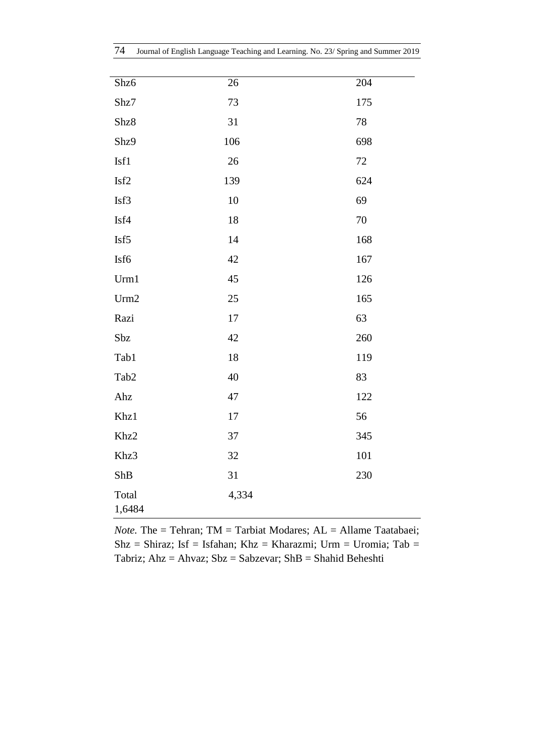| Shz6             | 26     | 204    |
|------------------|--------|--------|
| Shz7             | 73     | 175    |
| Shz8             | 31     | 78     |
| Shz9             | 106    | 698    |
| Isf1             | $26\,$ | $72\,$ |
| Isf2             | 139    | 624    |
| Isf3             | 10     | 69     |
| Isf4             | 18     | $70\,$ |
| Isf5             | 14     | 168    |
| Isf6             | 42     | 167    |
| Urm1             | 45     | 126    |
| Urm2             | 25     | 165    |
| Razi             | 17     | 63     |
| Sbz              | 42     | 260    |
| Tab1             | 18     | 119    |
| Tab <sub>2</sub> | 40     | 83     |
| Ahz              | 47     | 122    |
| Khz1             | 17     | 56     |
| Khz2             | 37     | 345    |
| Khz3             | 32     | 101    |
| ShB              | 31     | 230    |
| Total<br>1,6484  | 4,334  |        |

*Note.* The = Tehran; TM = Tarbiat Modares; AL = Allame Taatabaei;  $Shz = Shiraz$ ; Isf = Isfahan; Khz = Kharazmi; Urm = Uromia; Tab = Tabriz; Ahz = Ahvaz; Sbz = Sabzevar; ShB = Shahid Beheshti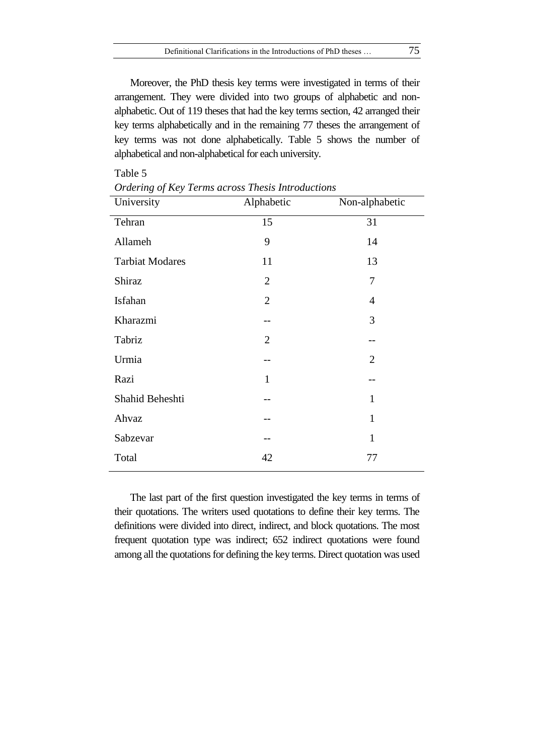Moreover, the PhD thesis key terms were investigated in terms of their arrangement. They were divided into two groups of alphabetic and nonalphabetic. Out of 119 theses that had the key terms section, 42 arranged their key terms alphabetically and in the remaining 77 theses the arrangement of key terms was not done alphabetically. Table 5 shows the number of alphabetical and non-alphabetical for each university.

| University             | Alphabetic     | Non-alphabetic |
|------------------------|----------------|----------------|
| Tehran                 | 15             | 31             |
| Allameh                | 9              | 14             |
| <b>Tarbiat Modares</b> | 11             | 13             |
| Shiraz                 | $\overline{2}$ | 7              |
| Isfahan                | $\overline{2}$ | $\overline{4}$ |
| Kharazmi               |                | 3              |
| Tabriz                 | $\overline{2}$ |                |
| Urmia                  |                | $\overline{2}$ |
| Razi                   | $\mathbf{1}$   |                |
| Shahid Beheshti        |                | $\mathbf{1}$   |
| Ahvaz                  |                | $\mathbf{1}$   |
| Sabzevar               |                | $\mathbf{1}$   |
| Total                  | 42             | 77             |

*Ordering of Key Terms across Thesis Introductions*

Table 5

The last part of the first question investigated the key terms in terms of their quotations. The writers used quotations to define their key terms. The definitions were divided into direct, indirect, and block quotations. The most frequent quotation type was indirect; 652 indirect quotations were found among all the quotations for defining the key terms. Direct quotation was used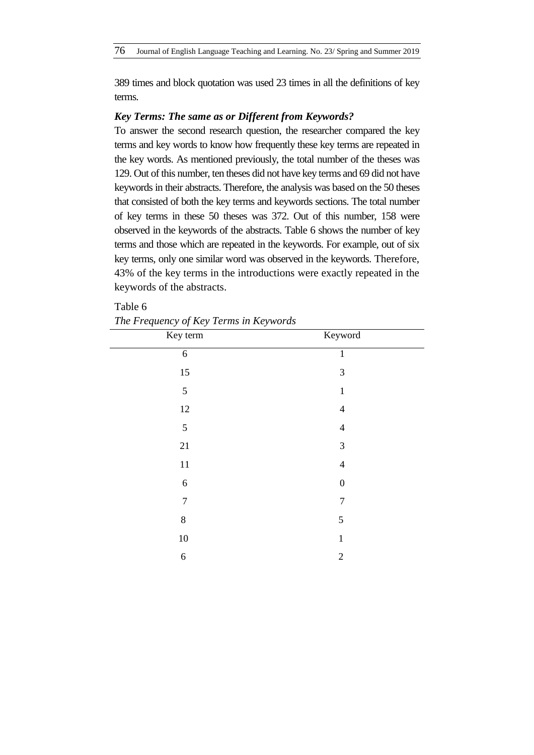389 times and block quotation was used 23 times in all the definitions of key terms.

### *Key Terms: The same as or Different from Keywords?*

To answer the second research question, the researcher compared the key terms and key words to know how frequently these key terms are repeated in the key words. As mentioned previously, the total number of the theses was 129. Out of this number, ten theses did not have key terms and 69 did not have keywords in their abstracts. Therefore, the analysis was based on the 50 theses that consisted of both the key terms and keywords sections. The total number of key terms in these 50 theses was 372. Out of this number, 158 were observed in the keywords of the abstracts. Table 6 shows the number of key terms and those which are repeated in the keywords. For example, out of six key terms, only one similar word was observed in the keywords. Therefore, 43% of the key terms in the introductions were exactly repeated in the keywords of the abstracts.

| The Prequency of Rey Terms in Reywords |                  |  |  |  |  |  |
|----------------------------------------|------------------|--|--|--|--|--|
| Key term                               | Keyword          |  |  |  |  |  |
| $\boldsymbol{6}$                       | 1                |  |  |  |  |  |
| 15                                     | $\mathfrak{Z}$   |  |  |  |  |  |
| 5                                      | $\mathbf{1}$     |  |  |  |  |  |
| 12                                     | $\overline{4}$   |  |  |  |  |  |
| 5                                      | $\overline{4}$   |  |  |  |  |  |
| 21                                     | $\mathfrak{Z}$   |  |  |  |  |  |
| 11                                     | $\overline{4}$   |  |  |  |  |  |
| 6                                      | $\boldsymbol{0}$ |  |  |  |  |  |
| $\overline{7}$                         | $\overline{7}$   |  |  |  |  |  |
| $8\,$                                  | 5                |  |  |  |  |  |
| $10\,$                                 | $\mathbf{1}$     |  |  |  |  |  |
| 6                                      | $\mathfrak{2}$   |  |  |  |  |  |

*The Frequency of Key Terms in Keywords*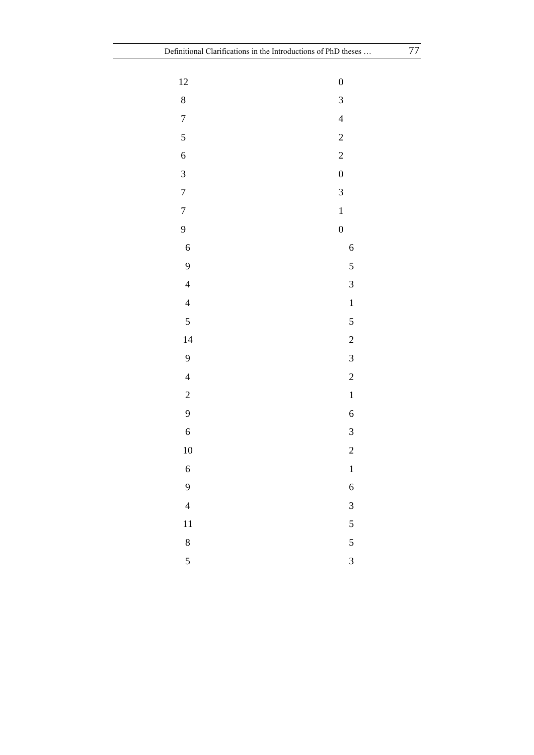| 12                       | $\boldsymbol{0}$         |
|--------------------------|--------------------------|
| 8                        | $\overline{\mathbf{3}}$  |
| $\overline{7}$           | $\overline{\mathcal{L}}$ |
| 5                        | $\overline{c}$           |
| $\overline{6}$           | $\overline{c}$           |
| $\overline{\mathbf{3}}$  | $\boldsymbol{0}$         |
| $\overline{7}$           | 3                        |
| $\overline{7}$           | $\mathbf{1}$             |
| 9                        | $\overline{0}$           |
| $\overline{6}$           | 6                        |
| 9                        | 5                        |
| $\overline{\mathcal{L}}$ | 3                        |
| $\overline{\mathcal{L}}$ | $\mathbf{1}$             |
| 5                        | 5                        |
| 14                       | $\overline{\mathbf{c}}$  |
| 9                        | $\overline{\mathbf{3}}$  |
| $\overline{\mathcal{L}}$ | $\overline{c}$           |
| $\overline{c}$           | $\mathbf{1}$             |
| 9                        | $\mathbf{6}$             |
| $\overline{6}$           | $\overline{\mathbf{3}}$  |
| 10                       | $\overline{c}$           |
| 6                        | $\mathbf{1}$             |
| 9                        | 6                        |
| $\overline{4}$           | 3                        |
| 11                       | 5                        |
| 8                        | $\overline{5}$           |
| $\overline{5}$           | $\overline{3}$           |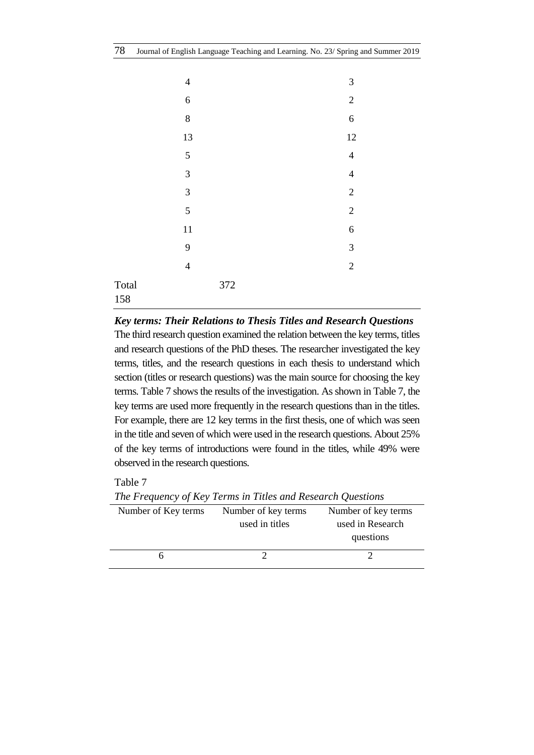|              | $\overline{4}$ | $\mathfrak{Z}$   |
|--------------|----------------|------------------|
|              | $\sqrt{6}$     | $\overline{2}$   |
|              | $\,8\,$        | $\overline{6}$   |
|              | 13             | 12               |
|              | 5              | $\overline{4}$   |
|              | $\overline{3}$ | $\overline{4}$   |
|              | 3              | $\overline{2}$   |
|              | 5              | $\overline{2}$   |
|              | 11             | $\boldsymbol{6}$ |
|              | 9              | $\mathfrak{Z}$   |
|              | $\overline{4}$ | $\sqrt{2}$       |
| Total<br>158 | 372            |                  |

## *Key terms: Their Relations to Thesis Titles and Research Questions*

The third research question examined the relation between the key terms, titles and research questions of the PhD theses. The researcher investigated the key terms, titles, and the research questions in each thesis to understand which section (titles or research questions) was the main source for choosing the key terms. Table 7 shows the results of the investigation. As shown in Table 7, the key terms are used more frequently in the research questions than in the titles. For example, there are 12 key terms in the first thesis, one of which was seen in the title and seven of which were used in the research questions. About 25% of the key terms of introductions were found in the titles, while 49% were observed in the research questions.

Number of Key terms Number of key terms used in titles Number of key terms used in Research questions 6 2 2 2

*The Frequency of Key Terms in Titles and Research Questions*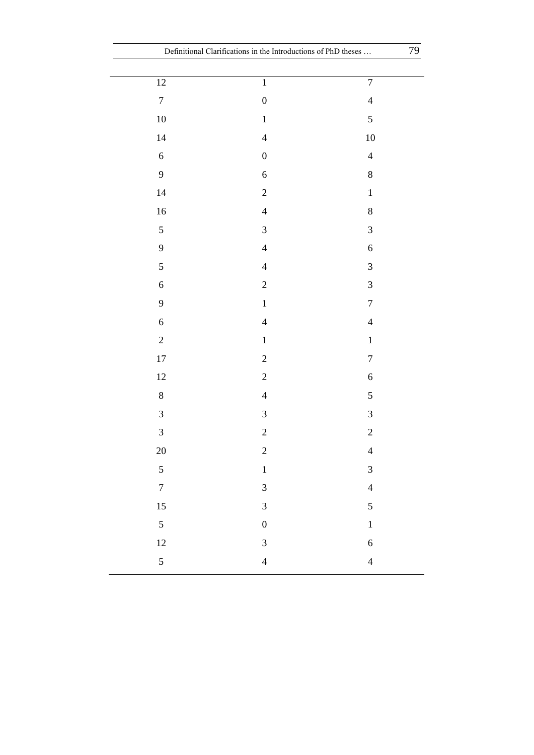|                             | Definitional Clarifications in the Introductions of PhD theses | 79                          |
|-----------------------------|----------------------------------------------------------------|-----------------------------|
| $\overline{12}$             | $\overline{1}$                                                 | $\overline{7}$              |
| $\boldsymbol{7}$            | $\boldsymbol{0}$                                               | $\overline{4}$              |
| $10\,$                      | $\,1\,$                                                        | $\sqrt{5}$                  |
|                             | $\overline{4}$                                                 |                             |
| $14$                        |                                                                | $10\,$                      |
| $\sqrt{6}$                  | $\boldsymbol{0}$                                               | $\overline{4}$              |
| $\overline{9}$              | $\sqrt{6}$                                                     | $8\,$                       |
| 14                          | $\sqrt{2}$                                                     | $\,1$                       |
| $16\,$                      | $\overline{4}$                                                 | $\,8$                       |
| $\sqrt{5}$                  | $\mathfrak{Z}$                                                 | $\ensuremath{\mathfrak{Z}}$ |
| $\mathbf{9}$                | $\overline{4}$                                                 | $\sqrt{6}$                  |
| $\mathfrak s$               | $\overline{4}$                                                 | $\mathfrak{Z}$              |
| $\sqrt{6}$                  | $\sqrt{2}$                                                     | $\ensuremath{\mathfrak{Z}}$ |
| $\boldsymbol{9}$            | $\,1\,$                                                        | $\boldsymbol{7}$            |
| $\sqrt{6}$                  | $\overline{4}$                                                 | $\overline{4}$              |
| $\sqrt{2}$                  | $\,1\,$                                                        | $\mathbf 1$                 |
| $17\,$                      | $\sqrt{2}$                                                     | $\boldsymbol{7}$            |
| 12                          | $\sqrt{2}$                                                     | $\sqrt{6}$                  |
| $8\,$                       | $\overline{4}$                                                 | $\mathfrak s$               |
| $\ensuremath{\mathfrak{Z}}$ | $\mathfrak{Z}$                                                 | $\ensuremath{\mathfrak{Z}}$ |
| $\mathfrak{Z}$              | $\overline{c}$                                                 | $\overline{c}$              |
| 20                          | $\overline{c}$                                                 | $\overline{4}$              |
| $\overline{5}$              | $\,1$                                                          | $\overline{3}$              |
| $\overline{7}$              | $\overline{3}$                                                 | $\overline{4}$              |
| 15                          | $\overline{3}$                                                 | $\mathfrak{S}$              |
| $\overline{5}$              | $\overline{0}$                                                 | $\mathbf{1}$                |
| 12                          | $\overline{\mathbf{3}}$                                        | $\sqrt{6}$                  |
| $\overline{5}$              | $\overline{4}$                                                 | $\overline{4}$              |
|                             |                                                                |                             |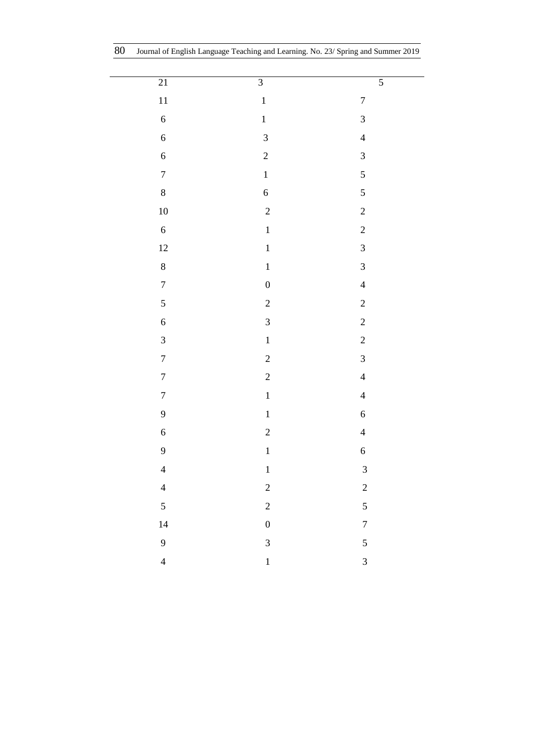L,

| 21                      | $\overline{3}$                                            | $\overline{5}$          |
|-------------------------|-----------------------------------------------------------|-------------------------|
| 11                      | $\mathbf{1}$                                              | $\overline{7}$          |
| $\overline{6}$          | $\mathbf{1}$                                              | $\overline{\mathbf{3}}$ |
| $\overline{6}$          | $\overline{3}$                                            | $\overline{4}$          |
| $\overline{6}$          | $\overline{c}$                                            | $\overline{\mathbf{3}}$ |
| $\overline{7}$          | $\mathbf 1$                                               | 5                       |
| $\,8$                   | $\mathbf{6}$                                              | 5                       |
| $10\,$                  | $\overline{c}$                                            | $\overline{c}$          |
| $\overline{6}$          | $\mathbf{1}$                                              | $\overline{c}$          |
| 12                      | $\mathbf{1}$                                              | $\mathfrak{Z}$          |
| $\boldsymbol{8}$        | $\mathbf{1}% _{T}=\mathbf{1}_{T}\left  \mathbf{1}\right $ | $\overline{\mathbf{3}}$ |
| $\overline{7}$          | $\overline{0}$                                            | $\overline{4}$          |
| 5                       | $\overline{c}$                                            | $\overline{c}$          |
| $\overline{6}$          | 3                                                         | $\overline{c}$          |
| $\overline{3}$          | $\mathbf{1}$                                              | $\overline{c}$          |
| $\overline{7}$          | $\overline{c}$                                            | $\overline{\mathbf{3}}$ |
| $\overline{7}$          | $\overline{c}$                                            | $\overline{4}$          |
| $\overline{7}$          | $\,1\,$                                                   | $\overline{4}$          |
| 9                       | $\mathbf{1}$                                              | $\overline{6}$          |
| $\overline{6}$          | $\overline{c}$                                            | $\overline{4}$          |
| 9                       | $\mathbf{1}$                                              | $\boldsymbol{6}$        |
| $\overline{4}$          | $\mathbf{1}$                                              | $\sqrt{3}$              |
| $\overline{\mathbf{4}}$ | $\overline{c}$                                            | $\overline{c}$          |
| $\overline{5}$          | $\overline{c}$                                            | 5                       |
| 14                      | $\boldsymbol{0}$                                          | $\overline{7}$          |
| 9                       | $\overline{3}$                                            | 5                       |
| $\overline{4}$          | $\mathbf{1}$                                              | $\overline{3}$          |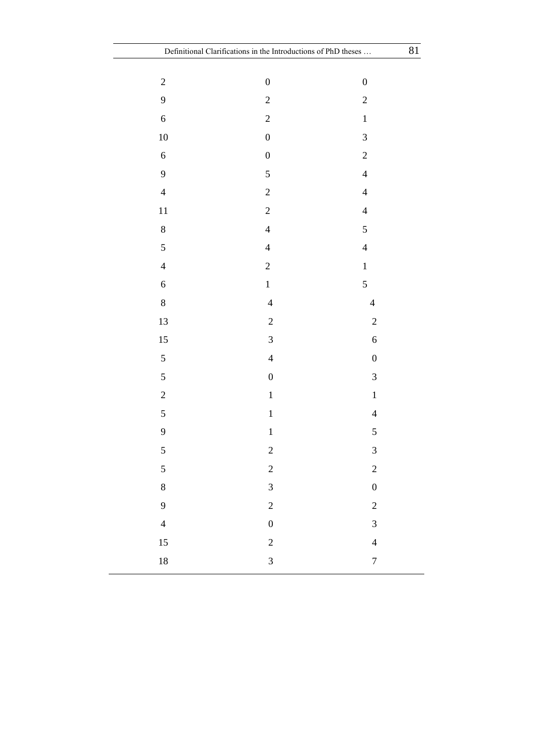| $\overline{c}$ | $\boldsymbol{0}$        | $\boldsymbol{0}$         |
|----------------|-------------------------|--------------------------|
| 9              | $\overline{c}$          | $\overline{c}$           |
| $\overline{6}$ | $\overline{c}$          | $\,1$                    |
| $10\,$         | $\boldsymbol{0}$        | $\overline{\mathbf{3}}$  |
| $\overline{6}$ | $\boldsymbol{0}$        | $\overline{c}$           |
| 9              | 5                       | $\overline{4}$           |
| $\overline{4}$ | $\overline{c}$          | $\overline{4}$           |
| 11             | $\overline{c}$          | $\overline{4}$           |
| $\,8\,$        | $\overline{4}$          | 5                        |
| 5              | $\overline{4}$          | $\overline{4}$           |
| $\overline{4}$ | $\overline{c}$          | $\mathbf{1}$             |
| $\overline{6}$ | $\mathbf{1}$            | $\overline{5}$           |
| $\,8\,$        | $\overline{4}$          | $\overline{4}$           |
| 13             | $\overline{c}$          | $\overline{c}$           |
| 15             | $\overline{3}$          | $\overline{6}$           |
| 5              | $\overline{4}$          | $\boldsymbol{0}$         |
| 5              | $\boldsymbol{0}$        | $\overline{\mathbf{3}}$  |
| $\overline{c}$ | $\mathbf 1$             | $\mathbf 1$              |
| 5              | $\mathbf{1}$            | $\overline{4}$           |
| 9              | $\mathbf{1}$            | 5                        |
| 5              | $\overline{\mathbf{c}}$ | $\overline{\mathbf{3}}$  |
| 5              | $\overline{c}$          | $\overline{c}$           |
| $\,$ $\,$      | $\mathfrak{Z}$          | $\boldsymbol{0}$         |
| 9              | $\overline{c}$          | $\overline{c}$           |
| $\overline{4}$ | $\boldsymbol{0}$        | $\overline{\mathbf{3}}$  |
| 15             | $\overline{\mathbf{c}}$ | $\overline{\mathcal{L}}$ |
| 18             | $\overline{3}$          | $\overline{7}$           |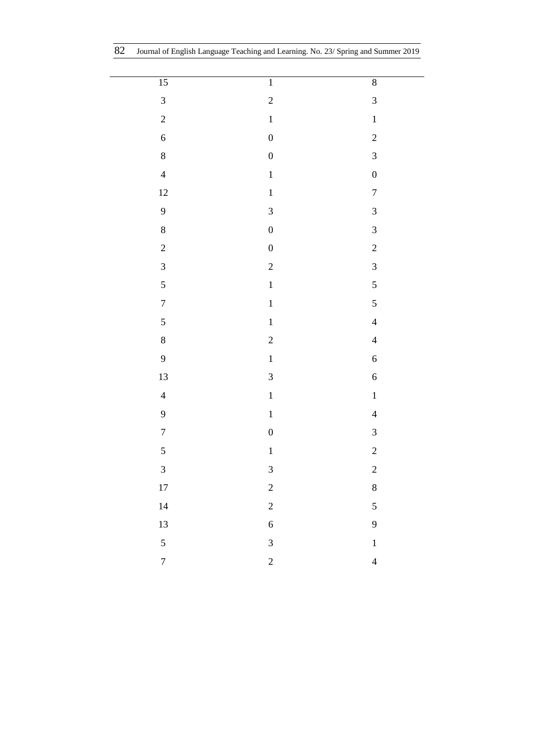L

| $\overline{15}$                  | $\overline{1}$   | $\sqrt{8}$              |
|----------------------------------|------------------|-------------------------|
| $\overline{\mathbf{3}}$          | $\overline{c}$   | $\overline{\mathbf{3}}$ |
| $\overline{c}$                   | $\mathbf{1}$     | $\mathbf{1}$            |
| $\overline{6}$                   | $\boldsymbol{0}$ | $\overline{c}$          |
| $\bf{8}$                         | $\boldsymbol{0}$ | $\overline{3}$          |
| $\overline{4}$                   | $\mathbf{1}$     | $\boldsymbol{0}$        |
| 12                               | $\mathbf{1}$     | $\overline{7}$          |
| 9                                | $\overline{3}$   | $\overline{\mathbf{3}}$ |
| $\,8\,$                          | $\boldsymbol{0}$ | $\overline{\mathbf{3}}$ |
| $\overline{c}$                   | $\boldsymbol{0}$ | $\overline{c}$          |
| $\overline{\mathbf{3}}$          | $\overline{c}$   | 3                       |
| 5                                | $\mathbf{1}$     | $\overline{5}$          |
| $\begin{array}{c} 7 \end{array}$ | $\mathbf{1}$     | 5                       |
| 5                                | $\mathbf{1}$     | $\overline{4}$          |
| $\,8$                            | $\overline{c}$   | $\overline{4}$          |
| 9                                | $\mathbf{1}$     | $\overline{6}$          |
| 13                               | $\mathfrak{Z}$   | $\overline{6}$          |
| $\overline{4}$                   | $\mathbf{1}$     | $\mathbf{1}$            |
| 9                                | $\mathbf{1}$     | $\overline{4}$          |
| $\begin{array}{c} 7 \end{array}$ | $\boldsymbol{0}$ | 3                       |
| 5                                | $\mathbf{1}$     | $\overline{\mathbf{c}}$ |
| 3                                | $\mathfrak{Z}$   | $\overline{c}$          |
| $17\,$                           | $\overline{c}$   | $\,8$                   |
| 14                               | $\overline{c}$   | 5                       |
| 13                               | $\overline{6}$   | 9                       |
| 5                                | $\overline{3}$   | $\mathbf{1}$            |
| $\sqrt{ }$                       | $\overline{c}$   | $\overline{4}$          |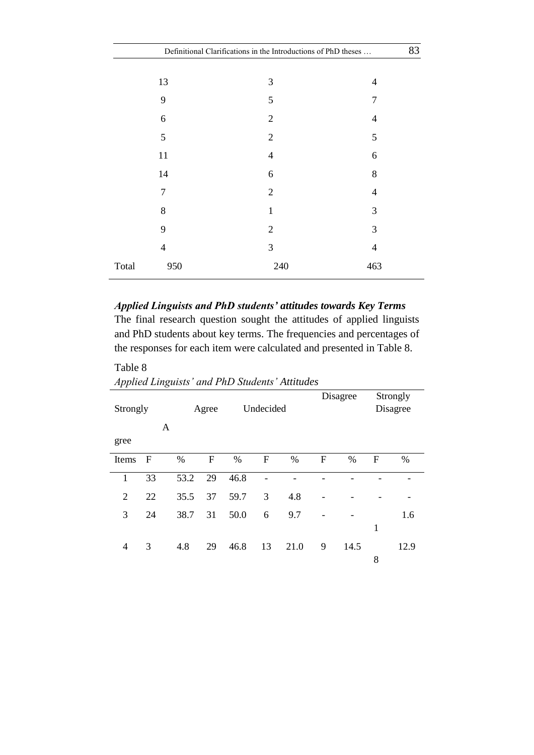|                | Definitional Clarifications in the Introductions of PhD theses |                |  |  |  |  |
|----------------|----------------------------------------------------------------|----------------|--|--|--|--|
|                |                                                                |                |  |  |  |  |
| 13             | 3                                                              | 4              |  |  |  |  |
| 9              | 5                                                              | 7              |  |  |  |  |
| 6              | $\overline{2}$                                                 | 4              |  |  |  |  |
| 5              | $\overline{2}$                                                 | 5              |  |  |  |  |
| 11             | 4                                                              | 6              |  |  |  |  |
| 14             | 6                                                              | 8              |  |  |  |  |
| 7              | $\overline{2}$                                                 | 4              |  |  |  |  |
| 8              | $\mathbf{1}$                                                   | 3              |  |  |  |  |
| 9              | $\overline{2}$                                                 | 3              |  |  |  |  |
| $\overline{4}$ | 3                                                              | $\overline{4}$ |  |  |  |  |
| Total<br>950   | 240                                                            | 463            |  |  |  |  |

*Applied Linguists and PhD students' attitudes towards Key Terms* The final research question sought the attitudes of applied linguists and PhD students about key terms. The frequencies and percentages of the responses for each item were calculated and presented in Table 8.

*Applied Linguists' and PhD Students' Attitudes*

| $\cdot$        |             | $\check{ }$ |       |      |                  |      |   |          |              |                      |  |
|----------------|-------------|-------------|-------|------|------------------|------|---|----------|--------------|----------------------|--|
| Strongly       |             |             | Agree |      | Undecided        |      |   | Disagree |              | Strongly<br>Disagree |  |
|                |             | A           |       |      |                  |      |   |          |              |                      |  |
| gree           |             |             |       |      |                  |      |   |          |              |                      |  |
| Items          | $\mathbf F$ | $\%$        | F     | %    | $\boldsymbol{F}$ | $\%$ | F | $\%$     | $\mathbf{F}$ | %                    |  |
| 1              | 33          | 53.2        | 29    | 46.8 |                  |      |   |          |              |                      |  |
| $\overline{2}$ | 22          | 35.5        | 37    | 59.7 | 3                | 4.8  |   |          |              |                      |  |
| 3              | 24          | 38.7        | 31    | 50.0 | 6                | 9.7  |   |          |              | 1.6                  |  |
|                |             |             |       |      |                  |      |   |          | 1            |                      |  |
| 4              | 3           | 4.8         | 29    | 46.8 | 13               | 21.0 | 9 | 14.5     |              | 12.9                 |  |
|                |             |             |       |      |                  |      |   |          | 8            |                      |  |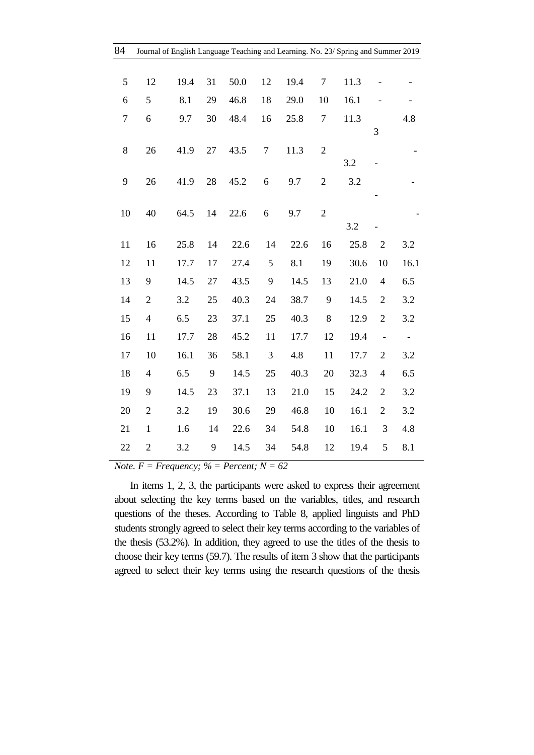| 84               |                          | Journal of English Language Teaching and Learning. No. 23/ Spring and Summer 2019 |    |      |                |      |                |      |                          |                   |
|------------------|--------------------------|-----------------------------------------------------------------------------------|----|------|----------------|------|----------------|------|--------------------------|-------------------|
|                  |                          |                                                                                   |    |      |                |      |                |      |                          |                   |
| 5                | 12                       | 19.4                                                                              | 31 | 50.0 | 12             | 19.4 | $\tau$         | 11.3 |                          |                   |
| 6                | 5                        | 8.1                                                                               | 29 | 46.8 | 18             | 29.0 | 10             | 16.1 |                          |                   |
| $\boldsymbol{7}$ | 6                        | 9.7                                                                               | 30 | 48.4 | 16             | 25.8 | $\tau$         | 11.3 |                          | 4.8               |
|                  |                          |                                                                                   |    |      |                |      |                |      | 3                        |                   |
| 8                | 26                       | 41.9                                                                              | 27 | 43.5 | 7              | 11.3 | $\overline{2}$ |      |                          |                   |
|                  |                          |                                                                                   |    |      |                |      |                | 3.2  |                          |                   |
| 9                | 26                       | 41.9                                                                              | 28 | 45.2 | 6              | 9.7  | $\mathfrak{2}$ | 3.2  |                          |                   |
| 10               | 40                       | 64.5                                                                              | 14 | 22.6 | 6              | 9.7  | $\mathbf{2}$   |      |                          |                   |
|                  |                          |                                                                                   |    |      |                |      |                | 3.2  |                          |                   |
| 11               | 16                       | 25.8                                                                              | 14 | 22.6 | 14             | 22.6 | 16             | 25.8 | $\overline{c}$           | 3.2               |
| 12               | 11                       | 17.7                                                                              | 17 | 27.4 | $\mathfrak{S}$ | 8.1  | 19             | 30.6 | 10                       | 16.1              |
| 13               | 9                        | 14.5                                                                              | 27 | 43.5 | 9              | 14.5 | 13             | 21.0 | $\overline{4}$           | 6.5               |
| 14               | $\overline{2}$           | 3.2                                                                               | 25 | 40.3 | 24             | 38.7 | 9              | 14.5 | $\overline{2}$           | 3.2               |
| 15               | $\overline{\mathcal{L}}$ | 6.5                                                                               | 23 | 37.1 | 25             | 40.3 | $\,8$          | 12.9 | $\mathbf{2}$             | 3.2               |
| 16               | 11                       | 17.7                                                                              | 28 | 45.2 | 11             | 17.7 | 12             | 19.4 | $\blacksquare$           | $\qquad \qquad -$ |
| 17               | 10                       | 16.1                                                                              | 36 | 58.1 | 3              | 4.8  | 11             | 17.7 | $\overline{c}$           | 3.2               |
| 18               | $\overline{4}$           | 6.5                                                                               | 9  | 14.5 | 25             | 40.3 | 20             | 32.3 | $\overline{\mathcal{A}}$ | 6.5               |
| 19               | 9                        | 14.5                                                                              | 23 | 37.1 | 13             | 21.0 | 15             | 24.2 | $\sqrt{2}$               | 3.2               |
| 20               | $\mathfrak{2}$           | 3.2                                                                               | 19 | 30.6 | 29             | 46.8 | 10             | 16.1 | $\mathbf{2}$             | 3.2               |
| 21               | $\mathbf{1}$             | 1.6                                                                               | 14 | 22.6 | 34             | 54.8 | 10             | 16.1 | $\mathfrak{Z}$           | 4.8               |
| 22               | $\overline{2}$           | 3.2                                                                               | 9  | 14.5 | 34             | 54.8 | 12             | 19.4 | 5                        | 8.1               |
|                  |                          |                                                                                   |    |      |                |      |                |      |                          |                   |

*Note.*  $F = F$ *requency; % = Percent; N = 62* 

In items 1, 2, 3, the participants were asked to express their agreement about selecting the key terms based on the variables, titles, and research questions of the theses. According to Table 8, applied linguists and PhD students strongly agreed to select their key terms according to the variables of the thesis (53.2%). In addition, they agreed to use the titles of the thesis to choose their key terms (59.7). The results of item 3 show that the participants agreed to select their key terms using the research questions of the thesis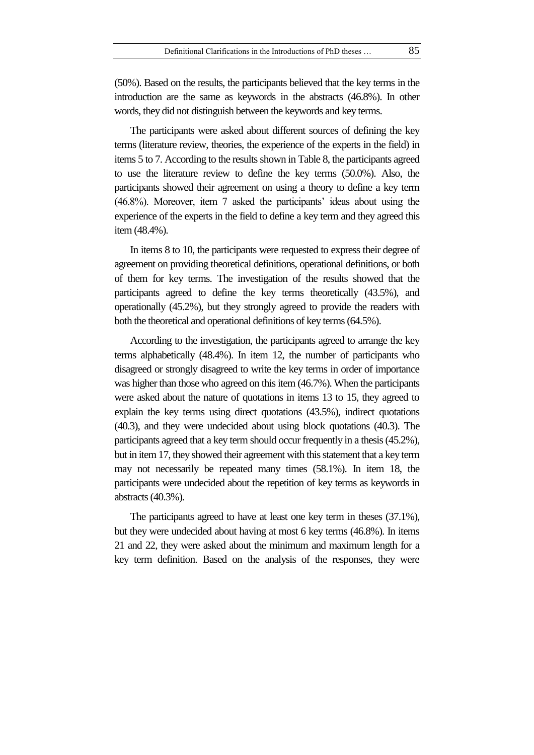words, they did not distinguish between the keywords and key terms.

The participants were asked about different sources of defining the key terms (literature review, theories, the experience of the experts in the field) in items 5 to 7. According to the results shown in Table 8, the participants agreed to use the literature review to define the key terms (50.0%). Also, the participants showed their agreement on using a theory to define a key term (46.8%). Moreover, item 7 asked the participants' ideas about using the experience of the experts in the field to define a key term and they agreed this item (48.4%).

In items 8 to 10, the participants were requested to express their degree of agreement on providing theoretical definitions, operational definitions, or both of them for key terms. The investigation of the results showed that the participants agreed to define the key terms theoretically (43.5%), and operationally (45.2%), but they strongly agreed to provide the readers with both the theoretical and operational definitions of key terms (64.5%).

According to the investigation, the participants agreed to arrange the key terms alphabetically (48.4%). In item 12, the number of participants who disagreed or strongly disagreed to write the key terms in order of importance was higher than those who agreed on this item (46.7%). When the participants were asked about the nature of quotations in items 13 to 15, they agreed to explain the key terms using direct quotations (43.5%), indirect quotations (40.3), and they were undecided about using block quotations (40.3). The participants agreed that a key term should occur frequently in a thesis(45.2%), but in item 17, they showed their agreement with this statement that a key term may not necessarily be repeated many times (58.1%). In item 18, the participants were undecided about the repetition of key terms as keywords in abstracts(40.3%).

The participants agreed to have at least one key term in theses (37.1%), but they were undecided about having at most 6 key terms (46.8%). In items 21 and 22, they were asked about the minimum and maximum length for a key term definition. Based on the analysis of the responses, they were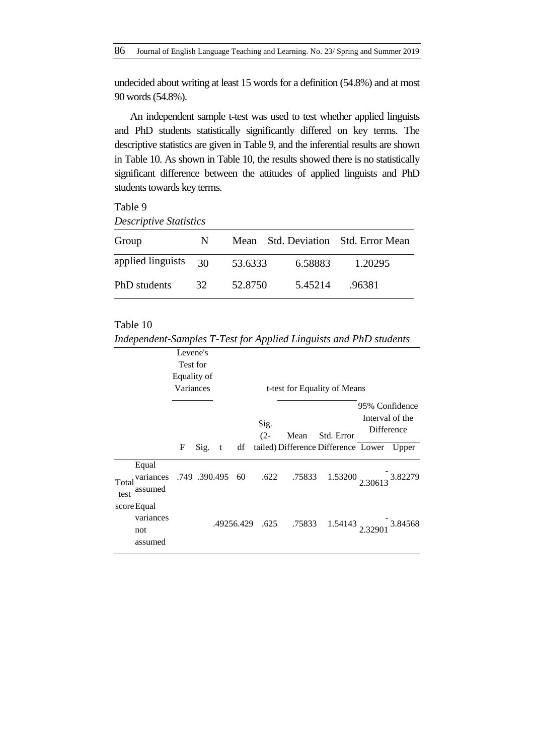undecided about writing at least 15 words for a definition (54.8%) and at most 90 words (54.8%).

An independent sample t-test was used to test whether applied linguists and PhD students statistically significantly differed on key terms. The descriptive statistics are given in Table 9, and the inferential results are shown in Table 10. As shown in Table 10, the results showed there is no statistically significant difference between the attitudes of applied linguists and PhD students towards key terms.

## Table 9

*Descriptive Statistics*

| Group                  | N. | Mean    |         | Std. Deviation Std. Error Mean |
|------------------------|----|---------|---------|--------------------------------|
| applied linguists $30$ |    | 53.6333 | 6.58883 | 1.20295                        |
| PhD students           | 32 | 52.8750 | 5.45214 | .96381                         |

*Independent-Samples T-Test for Applied Linguists and PhD students*

|               |                                                | Levene's<br>Test for |      |   |            |                |             |                                     |                                                 |         |
|---------------|------------------------------------------------|----------------------|------|---|------------|----------------|-------------|-------------------------------------|-------------------------------------------------|---------|
|               |                                                | Equality of          |      |   |            |                |             |                                     |                                                 |         |
|               |                                                | Variances            |      |   |            |                |             | t-test for Equality of Means        |                                                 |         |
|               |                                                |                      |      |   |            | Sig.<br>$(2 -$ | Mean        | Std. Error                          | 95% Confidence<br>Interval of the<br>Difference |         |
|               |                                                | F                    | Sig. | t | df         |                |             | tailed) Difference Difference Lower |                                                 | Upper   |
| Total<br>test | Equal<br>variances .749 .390.495 60<br>assumed |                      |      |   |            |                |             | .622 .75833 1.53200 2.30613 3.82279 |                                                 |         |
|               | score Equal<br>variances<br>not<br>assumed     |                      |      |   | .49256.429 |                | .625 .75833 | $1.54143$ <sub>2.3290</sub>         |                                                 | 3.84568 |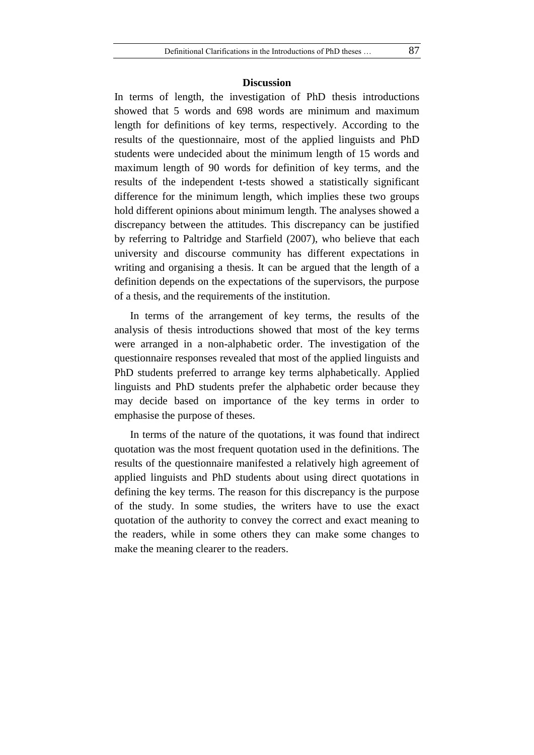#### **Discussion**

In terms of length, the investigation of PhD thesis introductions showed that 5 words and 698 words are minimum and maximum length for definitions of key terms, respectively. According to the results of the questionnaire, most of the applied linguists and PhD students were undecided about the minimum length of 15 words and maximum length of 90 words for definition of key terms, and the results of the independent t-tests showed a statistically significant difference for the minimum length, which implies these two groups hold different opinions about minimum length. The analyses showed a discrepancy between the attitudes. This discrepancy can be justified by referring to Paltridge and Starfield (2007), who believe that each university and discourse community has different expectations in writing and organising a thesis. It can be argued that the length of a definition depends on the expectations of the supervisors, the purpose of a thesis, and the requirements of the institution.

In terms of the arrangement of key terms, the results of the analysis of thesis introductions showed that most of the key terms were arranged in a non-alphabetic order. The investigation of the questionnaire responses revealed that most of the applied linguists and PhD students preferred to arrange key terms alphabetically. Applied linguists and PhD students prefer the alphabetic order because they may decide based on importance of the key terms in order to emphasise the purpose of theses.

In terms of the nature of the quotations, it was found that indirect quotation was the most frequent quotation used in the definitions. The results of the questionnaire manifested a relatively high agreement of applied linguists and PhD students about using direct quotations in defining the key terms. The reason for this discrepancy is the purpose of the study. In some studies, the writers have to use the exact quotation of the authority to convey the correct and exact meaning to the readers, while in some others they can make some changes to make the meaning clearer to the readers.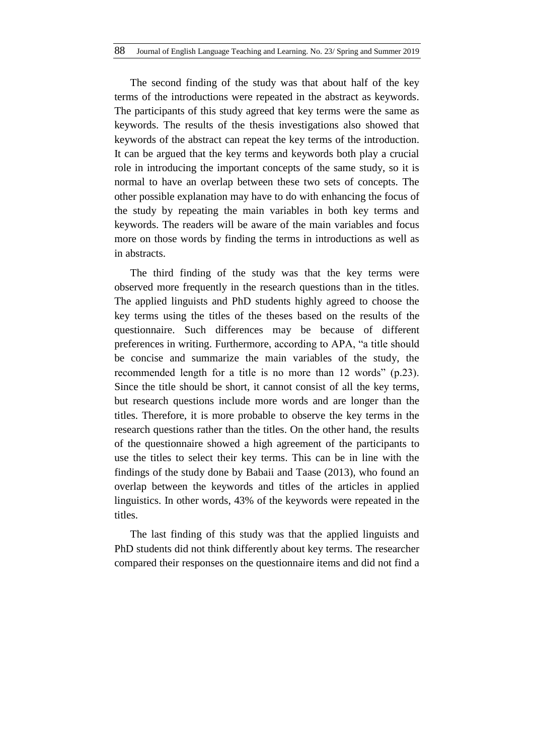The second finding of the study was that about half of the key terms of the introductions were repeated in the abstract as keywords. The participants of this study agreed that key terms were the same as keywords. The results of the thesis investigations also showed that keywords of the abstract can repeat the key terms of the introduction. It can be argued that the key terms and keywords both play a crucial role in introducing the important concepts of the same study, so it is normal to have an overlap between these two sets of concepts. The other possible explanation may have to do with enhancing the focus of the study by repeating the main variables in both key terms and keywords. The readers will be aware of the main variables and focus more on those words by finding the terms in introductions as well as in abstracts.

The third finding of the study was that the key terms were observed more frequently in the research questions than in the titles. The applied linguists and PhD students highly agreed to choose the key terms using the titles of the theses based on the results of the questionnaire. Such differences may be because of different preferences in writing. Furthermore, according to APA, "a title should be concise and summarize the main variables of the study, the recommended length for a title is no more than 12 words" (p.23). Since the title should be short, it cannot consist of all the key terms, but research questions include more words and are longer than the titles. Therefore, it is more probable to observe the key terms in the research questions rather than the titles. On the other hand, the results of the questionnaire showed a high agreement of the participants to use the titles to select their key terms. This can be in line with the findings of the study done by Babaii and Taase (2013), who found an overlap between the keywords and titles of the articles in applied linguistics. In other words, 43% of the keywords were repeated in the titles.

The last finding of this study was that the applied linguists and PhD students did not think differently about key terms. The researcher compared their responses on the questionnaire items and did not find a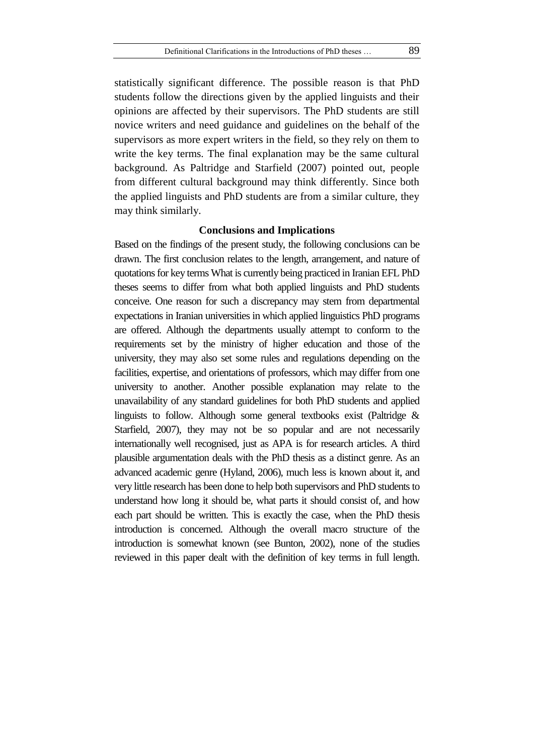statistically significant difference. The possible reason is that PhD students follow the directions given by the applied linguists and their opinions are affected by their supervisors. The PhD students are still novice writers and need guidance and guidelines on the behalf of the supervisors as more expert writers in the field, so they rely on them to write the key terms. The final explanation may be the same cultural background. As Paltridge and Starfield (2007) pointed out, people from different cultural background may think differently. Since both the applied linguists and PhD students are from a similar culture, they may think similarly.

### **Conclusions and Implications**

Based on the findings of the present study, the following conclusions can be drawn. The first conclusion relates to the length, arrangement, and nature of quotations for key terms What is currently being practiced in Iranian EFL PhD theses seems to differ from what both applied linguists and PhD students conceive. One reason for such a discrepancy may stem from departmental expectations in Iranian universities in which applied linguistics PhD programs are offered. Although the departments usually attempt to conform to the requirements set by the ministry of higher education and those of the university, they may also set some rules and regulations depending on the facilities, expertise, and orientations of professors, which may differ from one university to another. Another possible explanation may relate to the unavailability of any standard guidelines for both PhD students and applied linguists to follow. Although some general textbooks exist (Paltridge & Starfield, 2007), they may not be so popular and are not necessarily internationally well recognised, just as APA is for research articles. A third plausible argumentation deals with the PhD thesis as a distinct genre. As an advanced academic genre (Hyland, 2006), much less is known about it, and very little research has been done to help both supervisors and PhD students to understand how long it should be, what parts it should consist of, and how each part should be written. This is exactly the case, when the PhD thesis introduction is concerned. Although the overall macro structure of the introduction is somewhat known (see Bunton, 2002), none of the studies reviewed in this paper dealt with the definition of key terms in full length.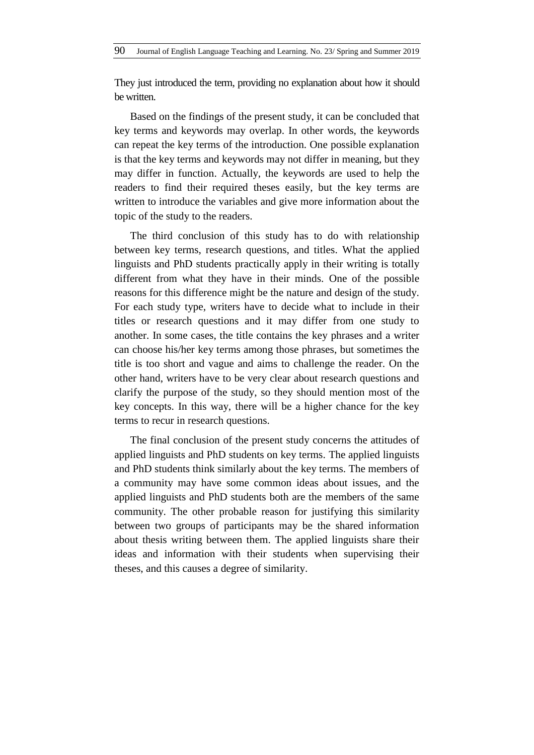They just introduced the term, providing no explanation about how it should be written.

Based on the findings of the present study, it can be concluded that key terms and keywords may overlap. In other words, the keywords can repeat the key terms of the introduction. One possible explanation is that the key terms and keywords may not differ in meaning, but they may differ in function. Actually, the keywords are used to help the readers to find their required theses easily, but the key terms are written to introduce the variables and give more information about the topic of the study to the readers.

The third conclusion of this study has to do with relationship between key terms, research questions, and titles. What the applied linguists and PhD students practically apply in their writing is totally different from what they have in their minds. One of the possible reasons for this difference might be the nature and design of the study. For each study type, writers have to decide what to include in their titles or research questions and it may differ from one study to another. In some cases, the title contains the key phrases and a writer can choose his/her key terms among those phrases, but sometimes the title is too short and vague and aims to challenge the reader. On the other hand, writers have to be very clear about research questions and clarify the purpose of the study, so they should mention most of the key concepts. In this way, there will be a higher chance for the key terms to recur in research questions.

The final conclusion of the present study concerns the attitudes of applied linguists and PhD students on key terms. The applied linguists and PhD students think similarly about the key terms. The members of a community may have some common ideas about issues, and the applied linguists and PhD students both are the members of the same community. The other probable reason for justifying this similarity between two groups of participants may be the shared information about thesis writing between them. The applied linguists share their ideas and information with their students when supervising their theses, and this causes a degree of similarity.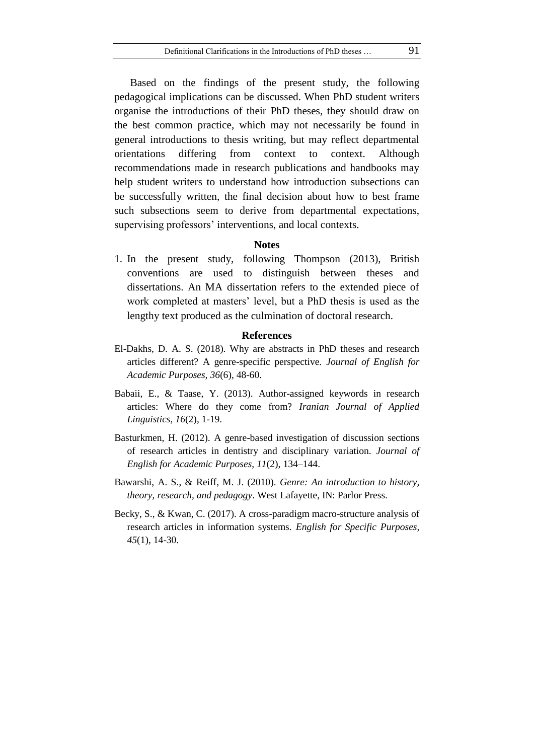Based on the findings of the present study, the following pedagogical implications can be discussed. When PhD student writers organise the introductions of their PhD theses, they should draw on the best common practice, which may not necessarily be found in general introductions to thesis writing, but may reflect departmental orientations differing from context to context. Although recommendations made in research publications and handbooks may help student writers to understand how introduction subsections can be successfully written, the final decision about how to best frame such subsections seem to derive from departmental expectations, supervising professors' interventions, and local contexts.

#### **Notes**

1. In the present study, following Thompson (2013), British conventions are used to distinguish between theses and dissertations. An MA dissertation refers to the extended piece of work completed at masters' level, but a PhD thesis is used as the lengthy text produced as the culmination of doctoral research.

#### **References**

- El-Dakhs, D. A. S. (2018). Why are abstracts in PhD theses and research articles different? A genre-specific perspective. *Journal of English for Academic Purposes, 36*(6), 48-60.
- Babaii, E., & Taase, Y. (2013). Author-assigned keywords in research articles: Where do they come from? *Iranian Journal of Applied Linguistics, 16*(2), 1-19.
- Basturkmen, H. (2012). A genre-based investigation of discussion sections of research articles in dentistry and disciplinary variation. *Journal of English for Academic Purposes, 11*(2), 134–144.
- Bawarshi, A. S., & Reiff, M. J. (2010). *Genre: An introduction to history, theory, research, and pedagogy*. West Lafayette, IN: Parlor Press.
- Becky, S., & Kwan, C. (2017). A cross-paradigm macro-structure analysis of research articles in information systems. *English for Specific Purposes, 45*(1), 14-30.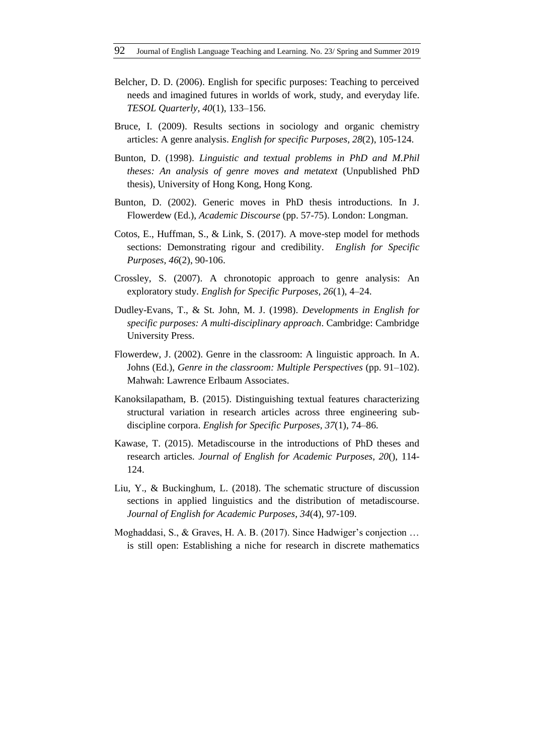- Belcher, D. D. (2006). English for specific purposes: Teaching to perceived needs and imagined futures in worlds of work, study, and everyday life. *TESOL Quarterly, 40*(1), 133–156.
- Bruce, I. (2009). Results sections in sociology and organic chemistry articles: A genre analysis. *English for specific Purposes, 28*(2), 105-124.
- Bunton, D. (1998). *Linguistic and textual problems in PhD and M.Phil theses: An analysis of genre moves and metatext* (Unpublished PhD thesis), University of Hong Kong, Hong Kong.
- Bunton, D. (2002). Generic moves in PhD thesis introductions. In J. Flowerdew (Ed.), *Academic Discourse* (pp. 57-75). London: Longman.
- Cotos, E., Huffman, S., & Link, S. (2017). A move-step model for methods sections: Demonstrating rigour and credibility. *English for Specific Purposes, 46*(2), 90-106.
- Crossley, S. (2007). A chronotopic approach to genre analysis: An exploratory study. *English for Specific Purposes, 26*(1), 4–24.
- Dudley-Evans, T., & St. John, M. J. (1998). *Developments in English for specific purposes: A multi-disciplinary approach*. Cambridge: Cambridge University Press.
- Flowerdew, J. (2002). Genre in the classroom: A linguistic approach. In A. Johns (Ed.), *Genre in the classroom: Multiple Perspectives* (pp. 91–102). Mahwah: Lawrence Erlbaum Associates.
- Kanoksilapatham, B. (2015). Distinguishing textual features characterizing structural variation in research articles across three engineering subdiscipline corpora. *English for Specific Purposes, 37*(1), 74–86.
- Kawase, T. (2015). Metadiscourse in the introductions of PhD theses and research articles. *Journal of English for Academic Purposes, 20*(), 114- 124.
- Liu, Y., & Buckinghum, L. (2018). The schematic structure of discussion sections in applied linguistics and the distribution of metadiscourse. *Journal of English for Academic Purposes, 34*(4), 97-109.
- Moghaddasi, S., & Graves, H. A. B. (2017). Since Hadwiger's conjection … is still open: Establishing a niche for research in discrete mathematics